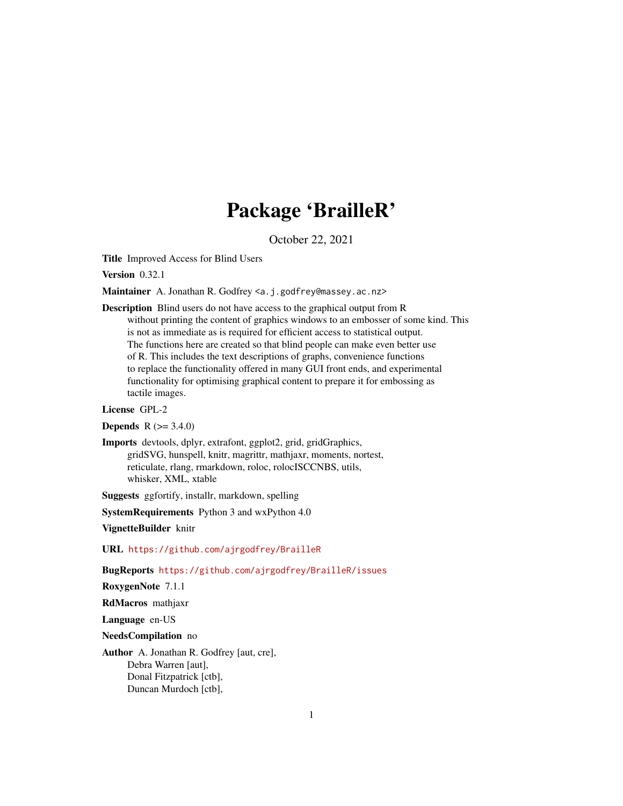# Package 'BrailleR'

October 22, 2021

<span id="page-0-0"></span>Title Improved Access for Blind Users

Version 0.32.1

Maintainer A. Jonathan R. Godfrey <a.j.godfrey@massey.ac.nz>

Description Blind users do not have access to the graphical output from R without printing the content of graphics windows to an embosser of some kind. This is not as immediate as is required for efficient access to statistical output. The functions here are created so that blind people can make even better use of R. This includes the text descriptions of graphs, convenience functions to replace the functionality offered in many GUI front ends, and experimental functionality for optimising graphical content to prepare it for embossing as tactile images.

License GPL-2

**Depends** R  $(>= 3.4.0)$ 

Imports devtools, dplyr, extrafont, ggplot2, grid, gridGraphics, gridSVG, hunspell, knitr, magrittr, mathjaxr, moments, nortest, reticulate, rlang, rmarkdown, roloc, rolocISCCNBS, utils, whisker, XML, xtable

Suggests ggfortify, installr, markdown, spelling

SystemRequirements Python 3 and wxPython 4.0

VignetteBuilder knitr

URL <https://github.com/ajrgodfrey/BrailleR>

BugReports <https://github.com/ajrgodfrey/BrailleR/issues>

RoxygenNote 7.1.1

RdMacros mathjaxr

Language en-US

NeedsCompilation no

Author A. Jonathan R. Godfrey [aut, cre], Debra Warren [aut], Donal Fitzpatrick [ctb], Duncan Murdoch [ctb],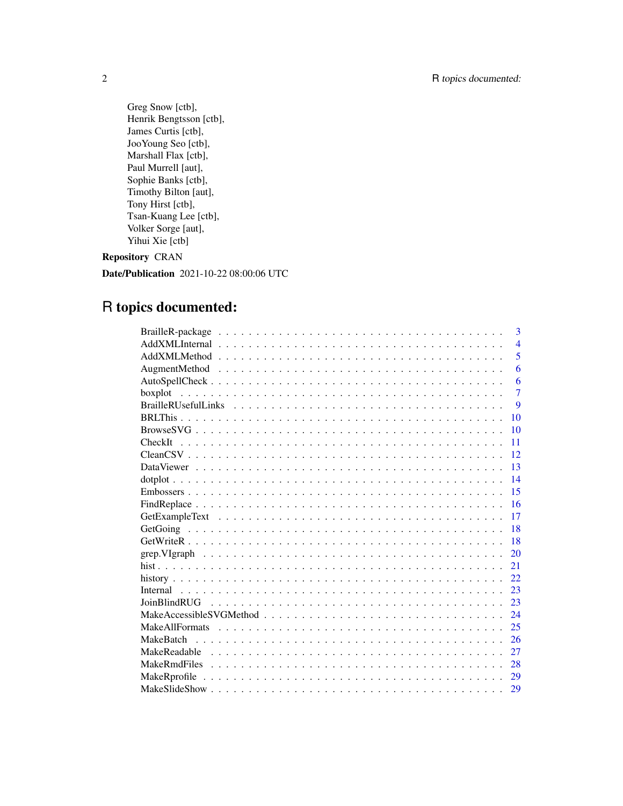Greg Snow [ctb], Henrik Bengtsson [ctb], James Curtis [ctb], JooYoung Seo [ctb], Marshall Flax [ctb], Paul Murrell [aut], Sophie Banks [ctb], Timothy Bilton [aut], Tony Hirst [ctb], Tsan-Kuang Lee [ctb], Volker Sorge [aut], Yihui Xie [ctb]

# Repository CRAN

Date/Publication 2021-10-22 08:00:06 UTC

# R topics documented:

| 3              |
|----------------|
| $\overline{4}$ |
| 5              |
| 6              |
| 6              |
| $\overline{7}$ |
| 9              |
| 10             |
| 10             |
| 11             |
| 12             |
| 13             |
| 14             |
| 15             |
| 16             |
| 17             |
| 18             |
| 18             |
| 20             |
| 21             |
| 22             |
| 23             |
| 23             |
| 24             |
| 25             |
| 26             |
| 27             |
| 28             |
| 29             |
| 29             |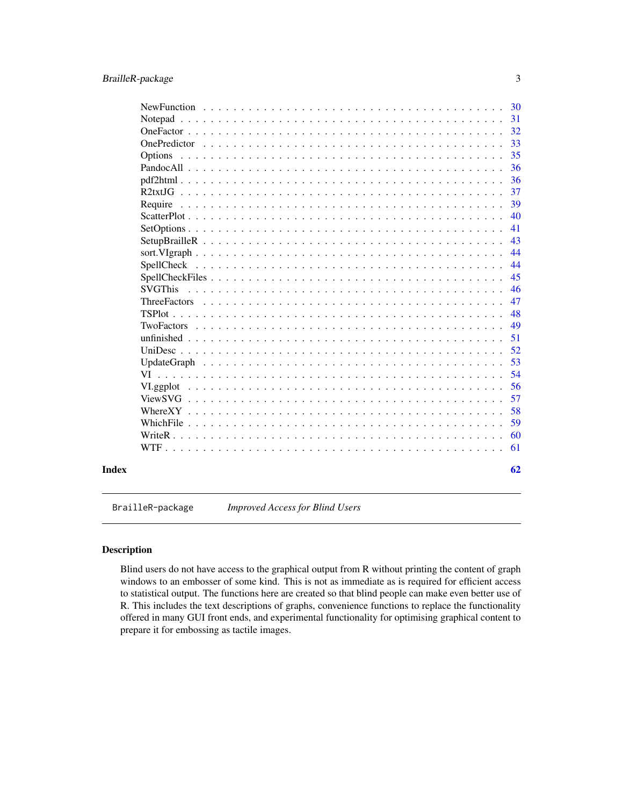<span id="page-2-0"></span>

|       | 30                        |  |
|-------|---------------------------|--|
|       | 31<br>Notepad             |  |
|       | 32                        |  |
|       | 33                        |  |
|       | 35                        |  |
|       | 36                        |  |
|       | 36                        |  |
|       | 37                        |  |
|       | 39<br>Require             |  |
|       | 40                        |  |
|       | 41                        |  |
|       | 43                        |  |
|       | 44                        |  |
|       | 44                        |  |
|       | 45                        |  |
|       | 46<br><b>SVGThis</b>      |  |
|       | 47<br><b>ThreeFactors</b> |  |
|       | 48                        |  |
|       | 49                        |  |
|       | 51                        |  |
|       | 52                        |  |
|       | 53                        |  |
|       | 54<br>VI                  |  |
|       | 56                        |  |
|       | 57                        |  |
|       | 58                        |  |
|       | 59                        |  |
|       | 60                        |  |
|       | 61                        |  |
| Index | 62                        |  |

BrailleR-package *Improved Access for Blind Users*

# Description

Blind users do not have access to the graphical output from R without printing the content of graph windows to an embosser of some kind. This is not as immediate as is required for efficient access to statistical output. The functions here are created so that blind people can make even better use of R. This includes the text descriptions of graphs, convenience functions to replace the functionality offered in many GUI front ends, and experimental functionality for optimising graphical content to prepare it for embossing as tactile images.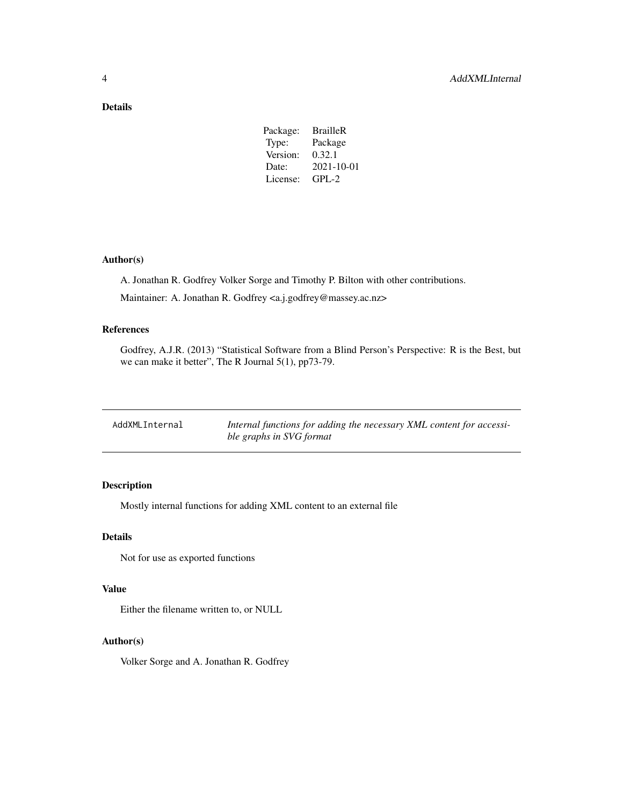# <span id="page-3-0"></span>Details

| Package: | <b>BrailleR</b>  |
|----------|------------------|
| Type:    | Package          |
| Version: | 0.32.1           |
| Date:    | $2021 - 10 - 01$ |
| License: | $GPL-2$          |
|          |                  |

# Author(s)

A. Jonathan R. Godfrey Volker Sorge and Timothy P. Bilton with other contributions.

Maintainer: A. Jonathan R. Godfrey <a.j.godfrey@massey.ac.nz>

# References

Godfrey, A.J.R. (2013) "Statistical Software from a Blind Person's Perspective: R is the Best, but we can make it better", The R Journal 5(1), pp73-79.

| AddXMLInternal | Internal functions for adding the necessary XML content for accessi- |
|----------------|----------------------------------------------------------------------|
|                | ble graphs in SVG format                                             |

# Description

Mostly internal functions for adding XML content to an external file

#### Details

Not for use as exported functions

#### Value

Either the filename written to, or NULL

## Author(s)

Volker Sorge and A. Jonathan R. Godfrey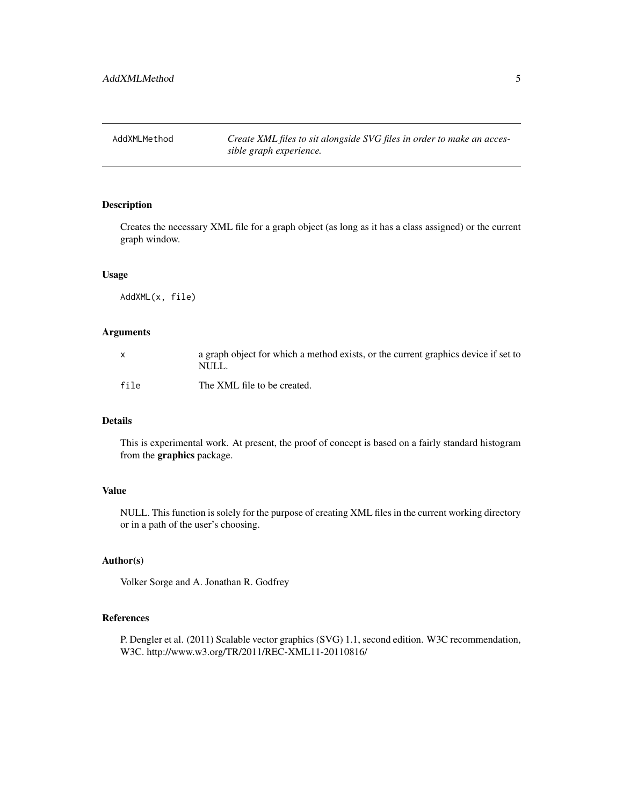<span id="page-4-0"></span>AddXMLMethod *Create XML files to sit alongside SVG files in order to make an accessible graph experience.*

# Description

Creates the necessary XML file for a graph object (as long as it has a class assigned) or the current graph window.

# Usage

AddXML(x, file)

# Arguments

| $\mathsf{x}$ | a graph object for which a method exists, or the current graphics device if set to<br>NULL. |
|--------------|---------------------------------------------------------------------------------------------|
| file         | The XML file to be created.                                                                 |

# Details

This is experimental work. At present, the proof of concept is based on a fairly standard histogram from the graphics package.

# Value

NULL. This function is solely for the purpose of creating XML files in the current working directory or in a path of the user's choosing.

# Author(s)

Volker Sorge and A. Jonathan R. Godfrey

# References

P. Dengler et al. (2011) Scalable vector graphics (SVG) 1.1, second edition. W3C recommendation, W3C. http://www.w3.org/TR/2011/REC-XML11-20110816/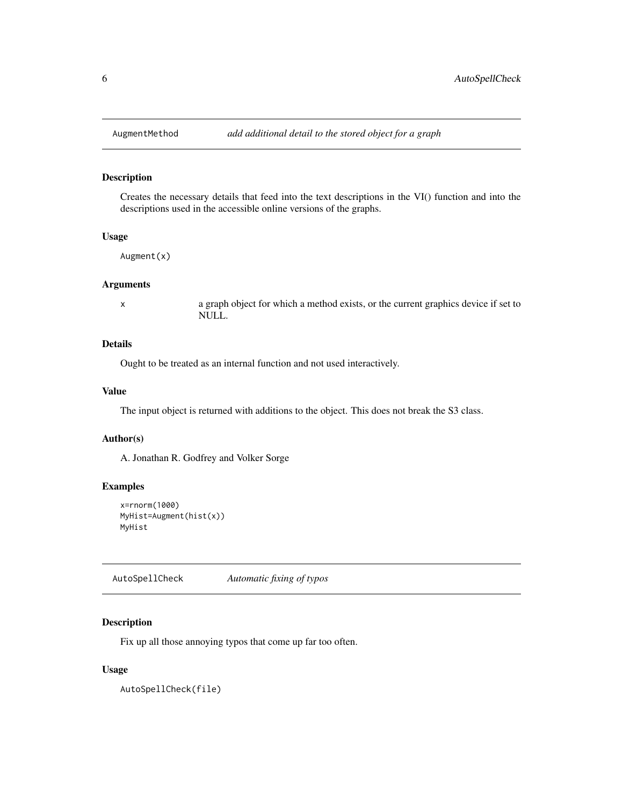<span id="page-5-0"></span>

Creates the necessary details that feed into the text descriptions in the VI() function and into the descriptions used in the accessible online versions of the graphs.

#### Usage

Augment(x)

# Arguments

x a graph object for which a method exists, or the current graphics device if set to NULL.

#### Details

Ought to be treated as an internal function and not used interactively.

# Value

The input object is returned with additions to the object. This does not break the S3 class.

#### Author(s)

A. Jonathan R. Godfrey and Volker Sorge

# Examples

```
x=rnorm(1000)
MyHist=Augment(hist(x))
MyHist
```
AutoSpellCheck *Automatic fixing of typos*

#### Description

Fix up all those annoying typos that come up far too often.

#### Usage

AutoSpellCheck(file)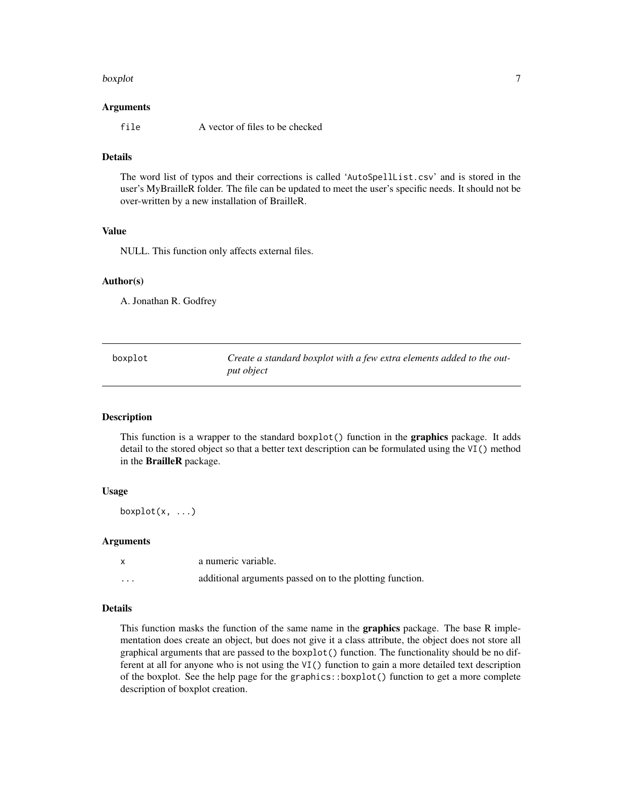#### <span id="page-6-0"></span>boxplot  $\overline{7}$

#### Arguments

file A vector of files to be checked

# Details

The word list of typos and their corrections is called 'AutoSpellList.csv' and is stored in the user's MyBrailleR folder. The file can be updated to meet the user's specific needs. It should not be over-written by a new installation of BrailleR.

#### Value

NULL. This function only affects external files.

#### Author(s)

A. Jonathan R. Godfrey

<span id="page-6-1"></span>

| boxplot | Create a standard boxplot with a few extra elements added to the out- |
|---------|-----------------------------------------------------------------------|
|         | put object                                                            |

# Description

This function is a wrapper to the standard boxplot() function in the **graphics** package. It adds detail to the stored object so that a better text description can be formulated using the VI() method in the BrailleR package.

#### Usage

boxplot $(x, \ldots)$ 

#### Arguments

| $\mathsf{x}$ | a numeric variable.                                      |
|--------------|----------------------------------------------------------|
| $\cdots$     | additional arguments passed on to the plotting function. |

# Details

This function masks the function of the same name in the **graphics** package. The base R implementation does create an object, but does not give it a class attribute, the object does not store all graphical arguments that are passed to the boxplot() function. The functionality should be no different at all for anyone who is not using the VI() function to gain a more detailed text description of the boxplot. See the help page for the graphics::boxplot() function to get a more complete description of boxplot creation.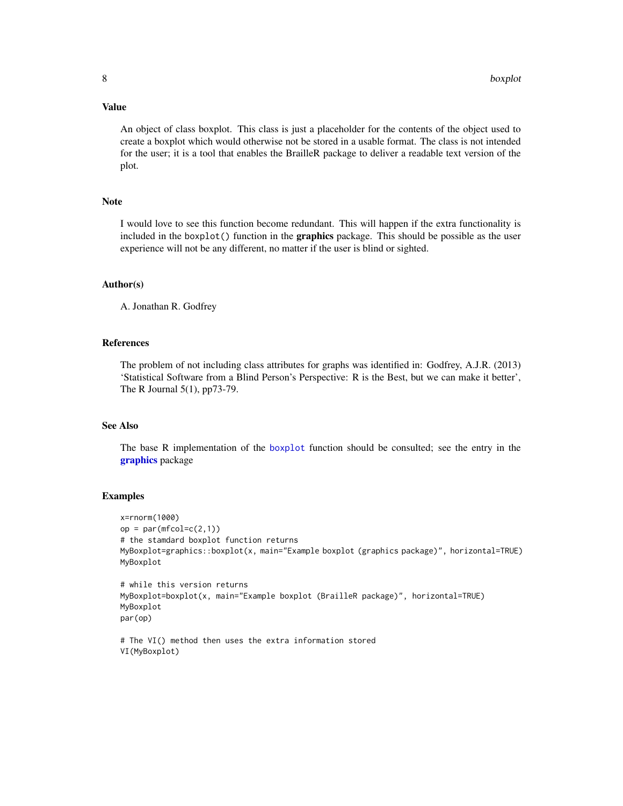# <span id="page-7-0"></span>Value

An object of class boxplot. This class is just a placeholder for the contents of the object used to create a boxplot which would otherwise not be stored in a usable format. The class is not intended for the user; it is a tool that enables the BrailleR package to deliver a readable text version of the plot.

# Note

I would love to see this function become redundant. This will happen if the extra functionality is included in the boxplot() function in the **graphics** package. This should be possible as the user experience will not be any different, no matter if the user is blind or sighted.

#### Author(s)

A. Jonathan R. Godfrey

#### References

The problem of not including class attributes for graphs was identified in: Godfrey, A.J.R. (2013) 'Statistical Software from a Blind Person's Perspective: R is the Best, but we can make it better', The R Journal 5(1), pp73-79.

# See Also

The base R implementation of the [boxplot](#page-6-1) function should be consulted; see the entry in the [graphics](#page-0-0) package

#### Examples

```
x=rnorm(1000)
op = par(mfcol=c(2,1))# the stamdard boxplot function returns
MyBoxplot=graphics::boxplot(x, main="Example boxplot (graphics package)", horizontal=TRUE)
MyBoxplot
# while this version returns
MyBoxplot=boxplot(x, main="Example boxplot (BrailleR package)", horizontal=TRUE)
MyBoxplot
par(op)
# The VI() method then uses the extra information stored
```

```
VI(MyBoxplot)
```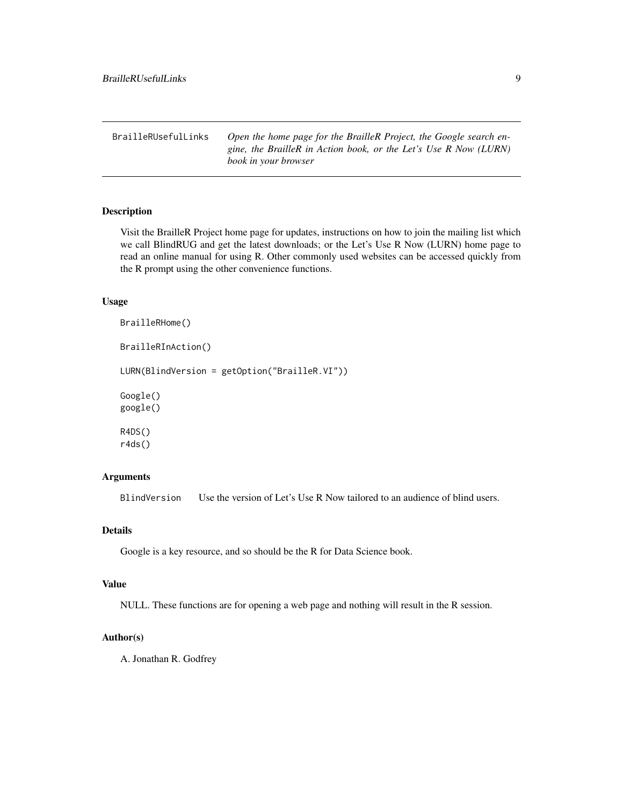<span id="page-8-0"></span>BrailleRUsefulLinks *Open the home page for the BrailleR Project, the Google search engine, the BrailleR in Action book, or the Let's Use R Now (LURN) book in your browser*

#### Description

Visit the BrailleR Project home page for updates, instructions on how to join the mailing list which we call BlindRUG and get the latest downloads; or the Let's Use R Now (LURN) home page to read an online manual for using R. Other commonly used websites can be accessed quickly from the R prompt using the other convenience functions.

#### Usage

```
BrailleRHome()
BrailleRInAction()
LURN(BlindVersion = getOption("BrailleR.VI"))
Google()
google()
R4DS()
r4ds()
```
# Arguments

BlindVersion Use the version of Let's Use R Now tailored to an audience of blind users.

#### Details

Google is a key resource, and so should be the R for Data Science book.

# Value

NULL. These functions are for opening a web page and nothing will result in the R session.

# Author(s)

A. Jonathan R. Godfrey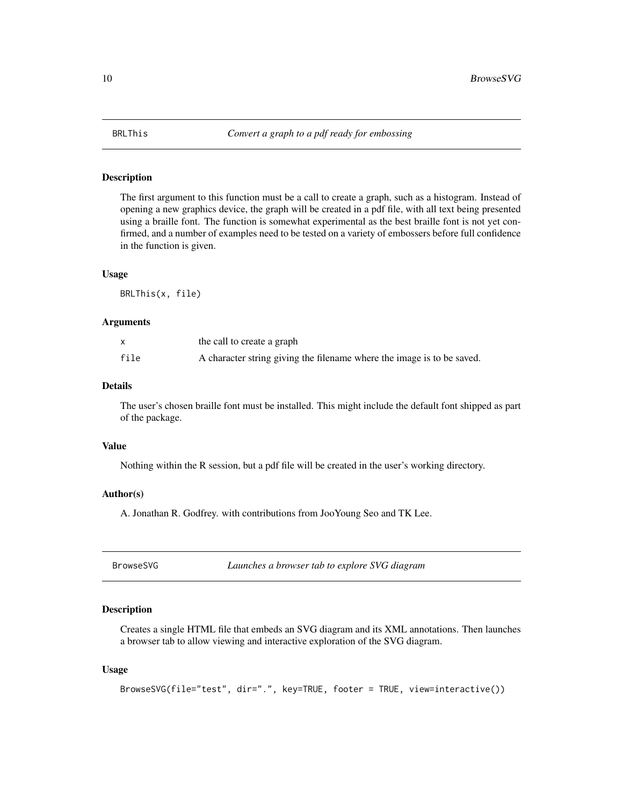<span id="page-9-0"></span>

The first argument to this function must be a call to create a graph, such as a histogram. Instead of opening a new graphics device, the graph will be created in a pdf file, with all text being presented using a braille font. The function is somewhat experimental as the best braille font is not yet confirmed, and a number of examples need to be tested on a variety of embossers before full confidence in the function is given.

#### Usage

BRLThis(x, file)

#### Arguments

|      | the call to create a graph                                             |
|------|------------------------------------------------------------------------|
| file | A character string giving the filename where the image is to be saved. |

# Details

The user's chosen braille font must be installed. This might include the default font shipped as part of the package.

#### Value

Nothing within the R session, but a pdf file will be created in the user's working directory.

#### Author(s)

A. Jonathan R. Godfrey. with contributions from JooYoung Seo and TK Lee.

BrowseSVG *Launches a browser tab to explore SVG diagram*

# Description

Creates a single HTML file that embeds an SVG diagram and its XML annotations. Then launches a browser tab to allow viewing and interactive exploration of the SVG diagram.

#### Usage

BrowseSVG(file="test", dir=".", key=TRUE, footer = TRUE, view=interactive())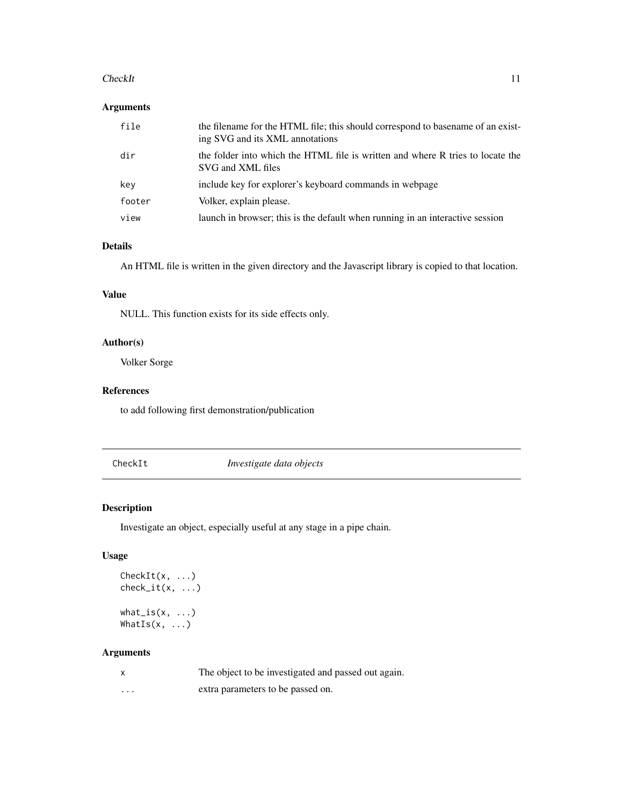#### <span id="page-10-0"></span>CheckIt 11

# Arguments

| file   | the filename for the HTML file; this should correspond to basename of an exist-<br>ing SVG and its XML annotations |
|--------|--------------------------------------------------------------------------------------------------------------------|
| dir    | the folder into which the HTML file is written and where R tries to locate the<br>SVG and XML files                |
| key    | include key for explorer's keyboard commands in webpage                                                            |
| footer | Volker, explain please.                                                                                            |
| view   | launch in browser; this is the default when running in an interactive session                                      |

# Details

An HTML file is written in the given directory and the Javascript library is copied to that location.

# Value

NULL. This function exists for its side effects only.

# Author(s)

Volker Sorge

# References

to add following first demonstration/publication

CheckIt *Investigate data objects*

# Description

Investigate an object, especially useful at any stage in a pipe chain.

# Usage

```
CheckIt(x, ...)
check_i(t(x, \ldots))what_is(x, ...)WhatIs(x, \ldots)
```
# Arguments

|                         | The object to be investigated and passed out again. |
|-------------------------|-----------------------------------------------------|
| $\cdot$ $\cdot$ $\cdot$ | extra parameters to be passed on.                   |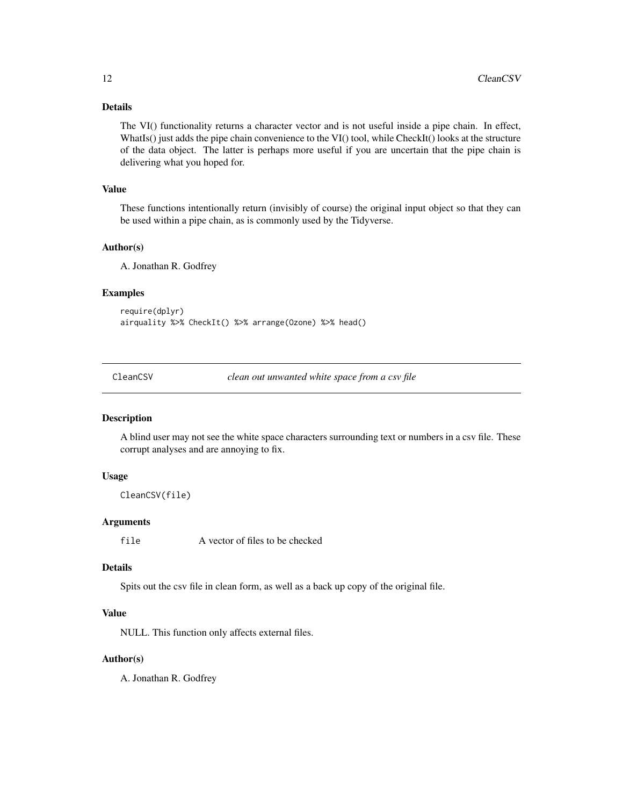# <span id="page-11-0"></span>Details

The VI() functionality returns a character vector and is not useful inside a pipe chain. In effect, WhatIs() just adds the pipe chain convenience to the VI() tool, while CheckIt() looks at the structure of the data object. The latter is perhaps more useful if you are uncertain that the pipe chain is delivering what you hoped for.

#### Value

These functions intentionally return (invisibly of course) the original input object so that they can be used within a pipe chain, as is commonly used by the Tidyverse.

# Author(s)

A. Jonathan R. Godfrey

#### Examples

```
require(dplyr)
airquality %>% CheckIt() %>% arrange(Ozone) %>% head()
```
CleanCSV *clean out unwanted white space from a csv file*

# Description

A blind user may not see the white space characters surrounding text or numbers in a csv file. These corrupt analyses and are annoying to fix.

# Usage

```
CleanCSV(file)
```
# Arguments

file A vector of files to be checked

# Details

Spits out the csv file in clean form, as well as a back up copy of the original file.

# Value

NULL. This function only affects external files.

# Author(s)

A. Jonathan R. Godfrey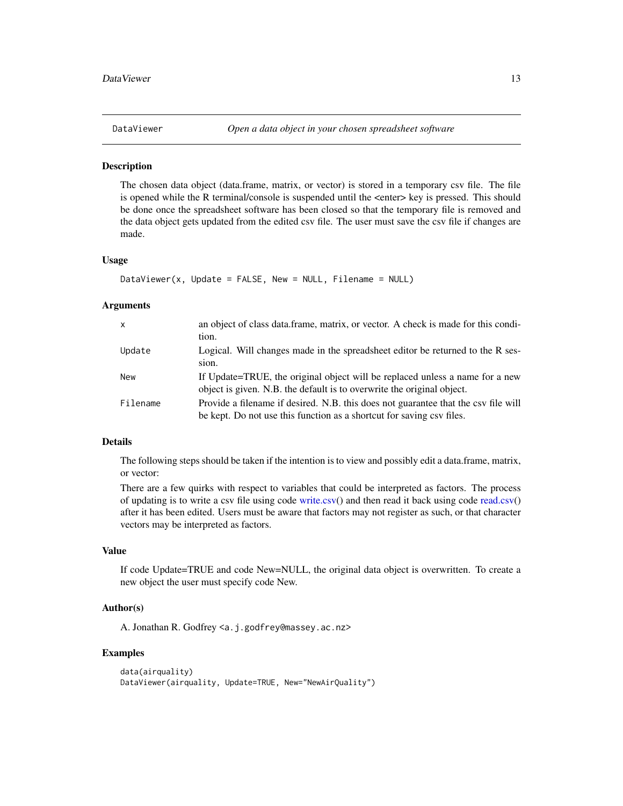<span id="page-12-0"></span>

The chosen data object (data.frame, matrix, or vector) is stored in a temporary csv file. The file is opened while the R terminal/console is suspended until the <enter> key is pressed. This should be done once the spreadsheet software has been closed so that the temporary file is removed and the data object gets updated from the edited csv file. The user must save the csv file if changes are made.

#### Usage

```
DataViewer(x, Update = FALSE, New = NULL, Filename = NULL
```
#### Arguments

| $\mathsf{x}$ | an object of class data frame, matrix, or vector. A check is made for this condi-<br>tion.                                                                  |
|--------------|-------------------------------------------------------------------------------------------------------------------------------------------------------------|
| Update       | Logical. Will changes made in the spreadsheet editor be returned to the R ses-<br>sion.                                                                     |
| New          | If Update=TRUE, the original object will be replaced unless a name for a new<br>object is given. N.B. the default is to overwrite the original object.      |
| Filename     | Provide a filename if desired. N.B. this does not guarantee that the csv file will<br>be kept. Do not use this function as a shortcut for saving csv files. |

# Details

The following steps should be taken if the intention is to view and possibly edit a data.frame, matrix, or vector:

There are a few quirks with respect to variables that could be interpreted as factors. The process of updating is to write a csv file using code [write.csv\(](#page-0-0)) and then read it back using code [read.csv\(](#page-0-0)) after it has been edited. Users must be aware that factors may not register as such, or that character vectors may be interpreted as factors.

#### Value

If code Update=TRUE and code New=NULL, the original data object is overwritten. To create a new object the user must specify code New.

# Author(s)

A. Jonathan R. Godfrey <a.j.godfrey@massey.ac.nz>

# Examples

```
data(airquality)
DataViewer(airquality, Update=TRUE, New="NewAirQuality")
```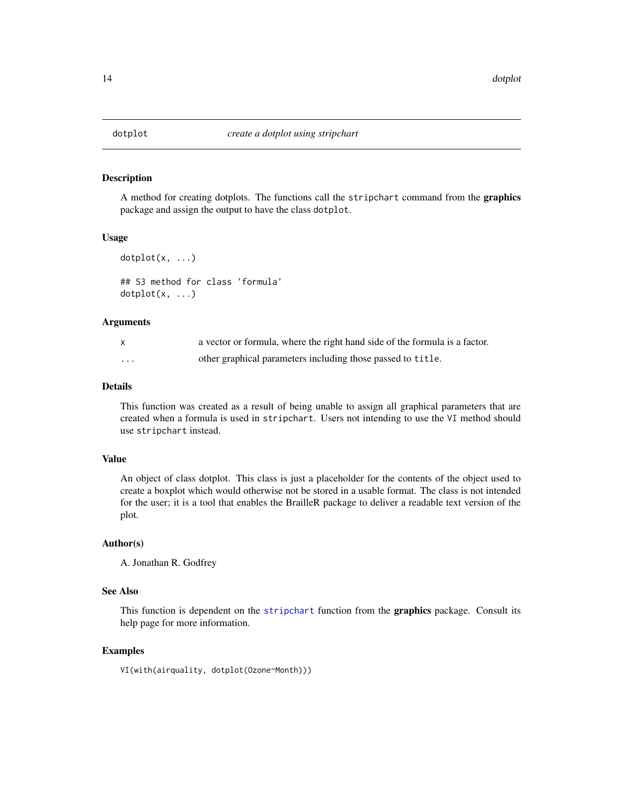A method for creating dotplots. The functions call the stripchart command from the graphics package and assign the output to have the class dotplot.

#### Usage

```
dot(x, \ldots)## S3 method for class 'formula'
```
 $dot(x, \ldots)$ 

# Arguments

| X | a vector or formula, where the right hand side of the formula is a factor. |
|---|----------------------------------------------------------------------------|
| . | other graphical parameters including those passed to title.                |

# Details

This function was created as a result of being unable to assign all graphical parameters that are created when a formula is used in stripchart. Users not intending to use the VI method should use stripchart instead.

#### Value

An object of class dotplot. This class is just a placeholder for the contents of the object used to create a boxplot which would otherwise not be stored in a usable format. The class is not intended for the user; it is a tool that enables the BrailleR package to deliver a readable text version of the plot.

# Author(s)

A. Jonathan R. Godfrey

#### See Also

This function is dependent on the [stripchart](#page-0-0) function from the graphics package. Consult its help page for more information.

# Examples

VI(with(airquality, dotplot(Ozone~Month)))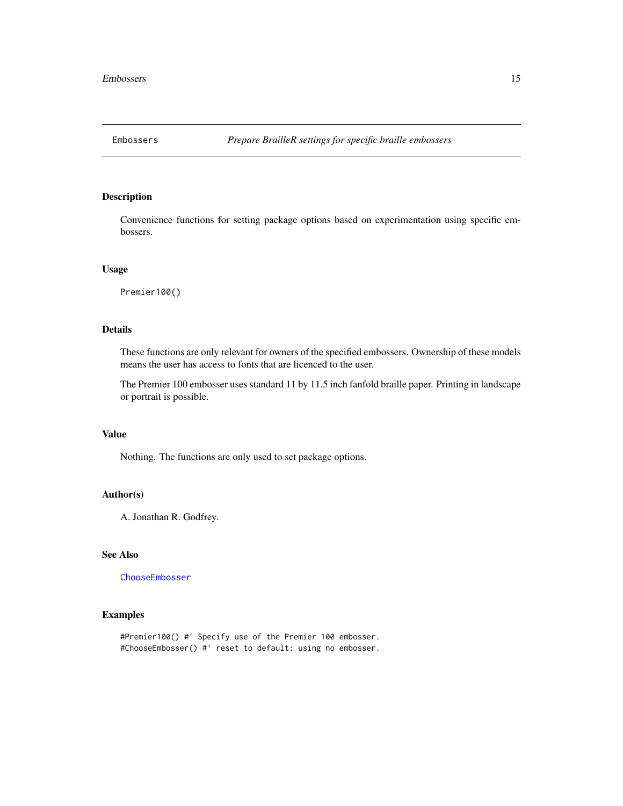<span id="page-14-0"></span>

Convenience functions for setting package options based on experimentation using specific embossers.

#### Usage

Premier100()

# Details

These functions are only relevant for owners of the specified embossers. Ownership of these models means the user has access to fonts that are licenced to the user.

The Premier 100 embosser uses standard 11 by 11.5 inch fanfold braille paper. Printing in landscape or portrait is possible.

# Value

Nothing. The functions are only used to set package options.

# Author(s)

A. Jonathan R. Godfrey.

# See Also

[ChooseEmbosser](#page-40-1)

#### Examples

#Premier100() #' Specify use of the Premier 100 embosser. #ChooseEmbosser() #' reset to default: using no embosser.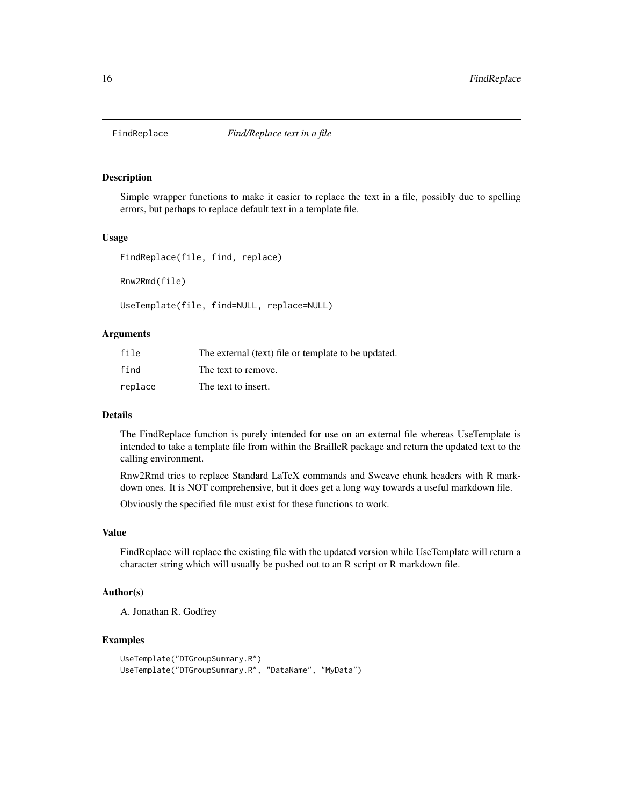<span id="page-15-0"></span>

Simple wrapper functions to make it easier to replace the text in a file, possibly due to spelling errors, but perhaps to replace default text in a template file.

#### Usage

FindReplace(file, find, replace)

Rnw2Rmd(file)

UseTemplate(file, find=NULL, replace=NULL)

#### Arguments

| file    | The external (text) file or template to be updated. |
|---------|-----------------------------------------------------|
| find    | The text to remove.                                 |
| replace | The text to insert.                                 |

# Details

The FindReplace function is purely intended for use on an external file whereas UseTemplate is intended to take a template file from within the BrailleR package and return the updated text to the calling environment.

Rnw2Rmd tries to replace Standard LaTeX commands and Sweave chunk headers with R markdown ones. It is NOT comprehensive, but it does get a long way towards a useful markdown file.

Obviously the specified file must exist for these functions to work.

# Value

FindReplace will replace the existing file with the updated version while UseTemplate will return a character string which will usually be pushed out to an R script or R markdown file.

#### Author(s)

A. Jonathan R. Godfrey

#### Examples

```
UseTemplate("DTGroupSummary.R")
UseTemplate("DTGroupSummary.R", "DataName", "MyData")
```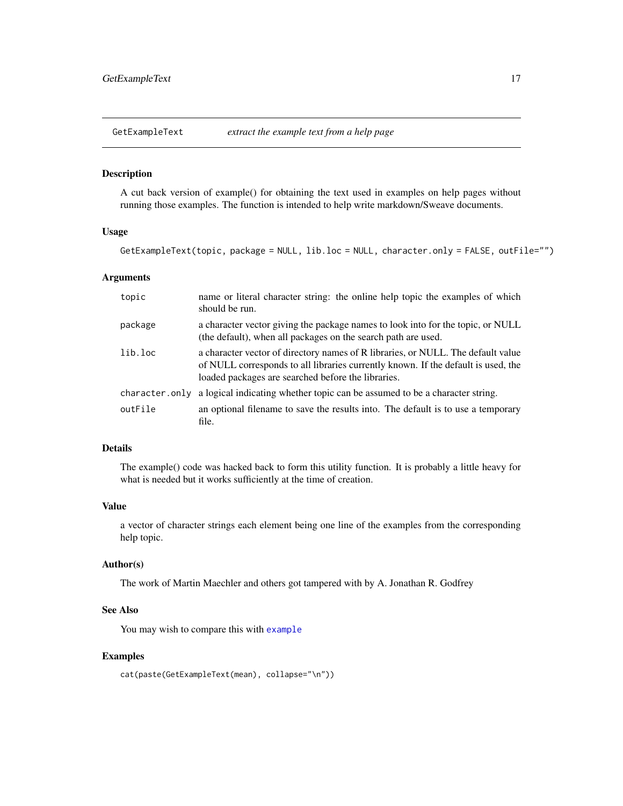<span id="page-16-0"></span>GetExampleText *extract the example text from a help page*

#### Description

A cut back version of example() for obtaining the text used in examples on help pages without running those examples. The function is intended to help write markdown/Sweave documents.

#### Usage

GetExampleText(topic, package = NULL, lib.loc = NULL, character.only = FALSE, outFile="")

#### Arguments

| topic          | name or literal character string: the online help topic the examples of which<br>should be run.                                                                                                                             |
|----------------|-----------------------------------------------------------------------------------------------------------------------------------------------------------------------------------------------------------------------------|
| package        | a character vector giving the package names to look into for the topic, or NULL<br>(the default), when all packages on the search path are used.                                                                            |
| lib.loc        | a character vector of directory names of R libraries, or NULL. The default value<br>of NULL corresponds to all libraries currently known. If the default is used, the<br>loaded packages are searched before the libraries. |
| character.only | a logical indicating whether topic can be assumed to be a character string.                                                                                                                                                 |
| outFile        | an optional filename to save the results into. The default is to use a temporary<br>file.                                                                                                                                   |

# Details

The example() code was hacked back to form this utility function. It is probably a little heavy for what is needed but it works sufficiently at the time of creation.

#### Value

a vector of character strings each element being one line of the examples from the corresponding help topic.

# Author(s)

The work of Martin Maechler and others got tampered with by A. Jonathan R. Godfrey

# See Also

You may wish to compare this with [example](#page-0-0)

# Examples

```
cat(paste(GetExampleText(mean), collapse="\n"))
```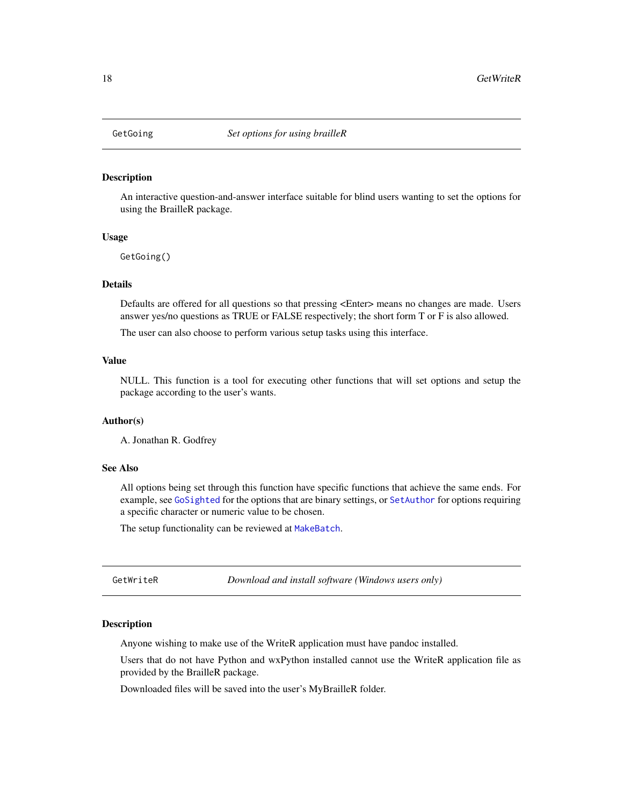<span id="page-17-0"></span>

An interactive question-and-answer interface suitable for blind users wanting to set the options for using the BrailleR package.

#### Usage

GetGoing()

# Details

Defaults are offered for all questions so that pressing <Enter> means no changes are made. Users answer yes/no questions as TRUE or FALSE respectively; the short form T or F is also allowed.

The user can also choose to perform various setup tasks using this interface.

# Value

NULL. This function is a tool for executing other functions that will set options and setup the package according to the user's wants.

#### Author(s)

A. Jonathan R. Godfrey

#### See Also

All options being set through this function have specific functions that achieve the same ends. For example, see [GoSighted](#page-34-1) for the options that are binary settings, or [SetAuthor](#page-40-1) for options requiring a specific character or numeric value to be chosen.

The setup functionality can be reviewed at [MakeBatch](#page-25-1).

GetWriteR *Download and install software (Windows users only)*

#### **Description**

Anyone wishing to make use of the WriteR application must have pandoc installed.

Users that do not have Python and wxPython installed cannot use the WriteR application file as provided by the BrailleR package.

Downloaded files will be saved into the user's MyBrailleR folder.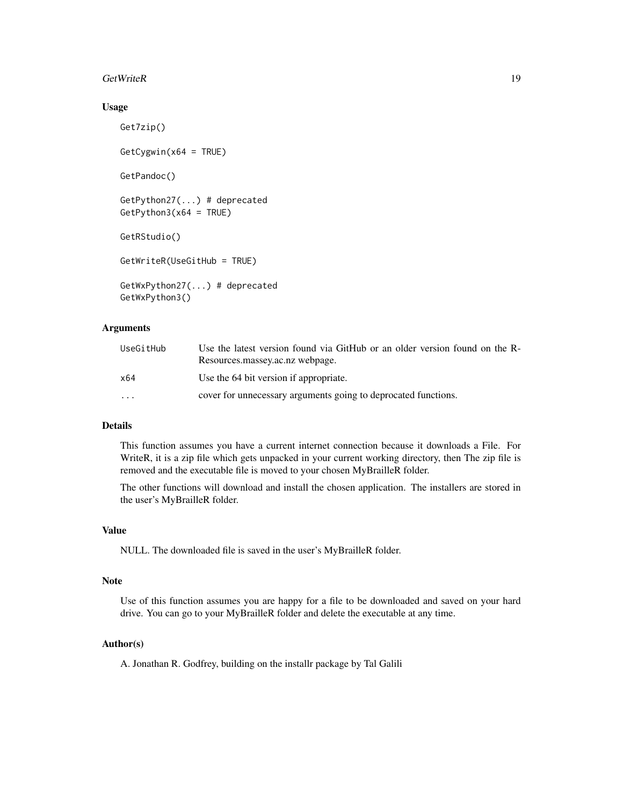#### GetWriteR 19

#### Usage

```
Get7zip()
GetCygwin(x64 = TRUE)GetPandoc()
GetPython27(...) # deprecated
GetPython3(x64 = TRUE)GetRStudio()
GetWriteR(UseGitHub = TRUE)
GetWxPython27(...) # deprecated
GetWxPython3()
```
# Arguments

| UseGitHub | Use the latest version found via GitHub or an older version found on the R-<br>Resources.massey.ac.nz webpage. |
|-----------|----------------------------------------------------------------------------------------------------------------|
| x64       | Use the 64 bit version if appropriate.                                                                         |
| $\cdots$  | cover for unnecessary arguments going to deprocated functions.                                                 |

# Details

This function assumes you have a current internet connection because it downloads a File. For WriteR, it is a zip file which gets unpacked in your current working directory, then The zip file is removed and the executable file is moved to your chosen MyBrailleR folder.

The other functions will download and install the chosen application. The installers are stored in the user's MyBrailleR folder.

# Value

NULL. The downloaded file is saved in the user's MyBrailleR folder.

#### **Note**

Use of this function assumes you are happy for a file to be downloaded and saved on your hard drive. You can go to your MyBrailleR folder and delete the executable at any time.

# Author(s)

A. Jonathan R. Godfrey, building on the installr package by Tal Galili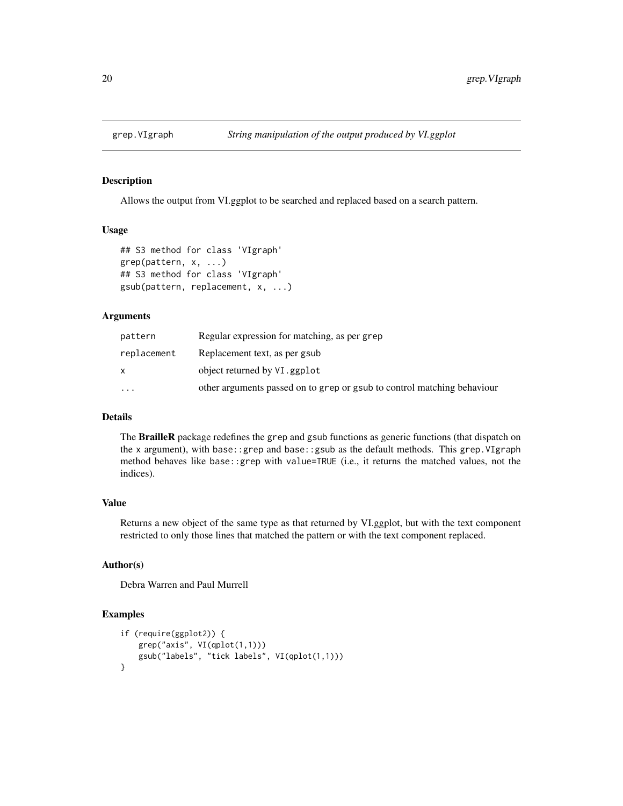<span id="page-19-0"></span>

Allows the output from VI.ggplot to be searched and replaced based on a search pattern.

#### Usage

```
## S3 method for class 'VIgraph'
grep(pattern, x, ...)
## S3 method for class 'VIgraph'
gsub(pattern, replacement, x, ...)
```
#### **Arguments**

| pattern     | Regular expression for matching, as per grep                            |
|-------------|-------------------------------------------------------------------------|
| replacement | Replacement text, as per gsub                                           |
| x           | object returned by VI. ggplot                                           |
| $\cdots$    | other arguments passed on to grep or gsub to control matching behaviour |
|             |                                                                         |

# Details

The **BrailleR** package redefines the grep and gsub functions as generic functions (that dispatch on the x argument), with base::grep and base::gsub as the default methods. This grep.VIgraph method behaves like base::grep with value=TRUE (i.e., it returns the matched values, not the indices).

# Value

Returns a new object of the same type as that returned by VI.ggplot, but with the text component restricted to only those lines that matched the pattern or with the text component replaced.

# Author(s)

Debra Warren and Paul Murrell

#### Examples

```
if (require(ggplot2)) {
   grep("axis", VI(qplot(1,1)))
   gsub("labels", "tick labels", VI(qplot(1,1)))
}
```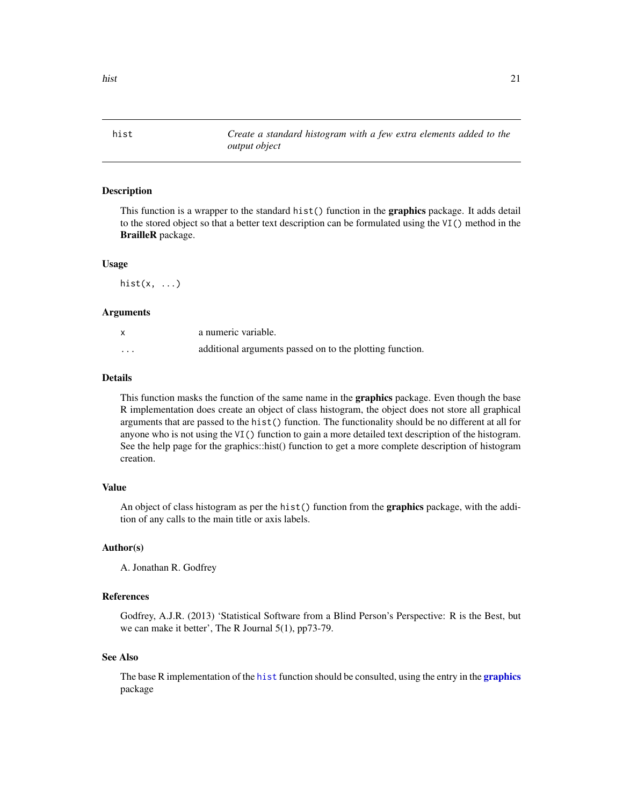<span id="page-20-1"></span><span id="page-20-0"></span>hist *Create a standard histogram with a few extra elements added to the output object*

#### Description

This function is a wrapper to the standard hist() function in the **graphics** package. It adds detail to the stored object so that a better text description can be formulated using the VI() method in the BrailleR package.

#### Usage

hist $(x, \ldots)$ 

# Arguments

| X                       | a numeric variable.                                      |
|-------------------------|----------------------------------------------------------|
| $\cdot$ $\cdot$ $\cdot$ | additional arguments passed on to the plotting function. |

#### Details

This function masks the function of the same name in the **graphics** package. Even though the base R implementation does create an object of class histogram, the object does not store all graphical arguments that are passed to the hist() function. The functionality should be no different at all for anyone who is not using the VI() function to gain a more detailed text description of the histogram. See the help page for the graphics::hist() function to get a more complete description of histogram creation.

# Value

An object of class histogram as per the hist() function from the graphics package, with the addition of any calls to the main title or axis labels.

#### Author(s)

A. Jonathan R. Godfrey

# References

Godfrey, A.J.R. (2013) 'Statistical Software from a Blind Person's Perspective: R is the Best, but we can make it better', The R Journal 5(1), pp73-79.

#### See Also

The base R implementation of the [hist](#page-20-1) function should be consulted, using the entry in the **[graphics](#page-0-0)** package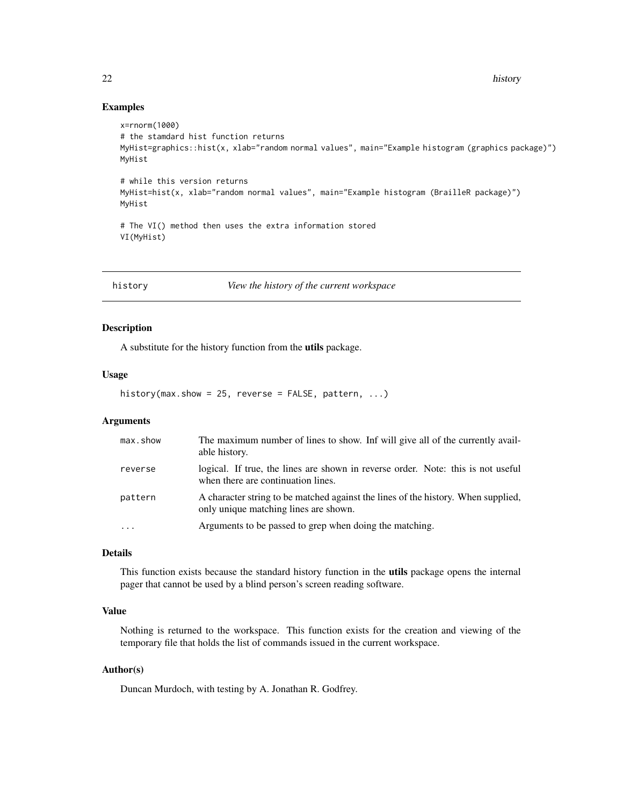<span id="page-21-0"></span>22 history and the contract of the contract of the contract of the contract of the contract of the contract of the contract of the contract of the contract of the contract of the contract of the contract of the contract of

#### Examples

```
x=rnorm(1000)
# the stamdard hist function returns
MyHist=graphics::hist(x, xlab="random normal values", main="Example histogram (graphics package)")
MyHist
# while this version returns
MyHist=hist(x, xlab="random normal values", main="Example histogram (BrailleR package)")
MyHist
# The VI() method then uses the extra information stored
VI(MyHist)
```
<span id="page-21-1"></span>history *View the history of the current workspace*

# Description

A substitute for the history function from the utils package.

# Usage

history(max.show = 25, reverse = FALSE, pattern,  $\ldots$ )

#### Arguments

| max.show | The maximum number of lines to show. Inf will give all of the currently avail-<br>able history.                            |
|----------|----------------------------------------------------------------------------------------------------------------------------|
| reverse  | logical. If true, the lines are shown in reverse order. Note: this is not useful<br>when there are continuation lines.     |
| pattern  | A character string to be matched against the lines of the history. When supplied,<br>only unique matching lines are shown. |
| $\cdots$ | Arguments to be passed to grep when doing the matching.                                                                    |

# Details

This function exists because the standard history function in the utils package opens the internal pager that cannot be used by a blind person's screen reading software.

# Value

Nothing is returned to the workspace. This function exists for the creation and viewing of the temporary file that holds the list of commands issued in the current workspace.

# Author(s)

Duncan Murdoch, with testing by A. Jonathan R. Godfrey.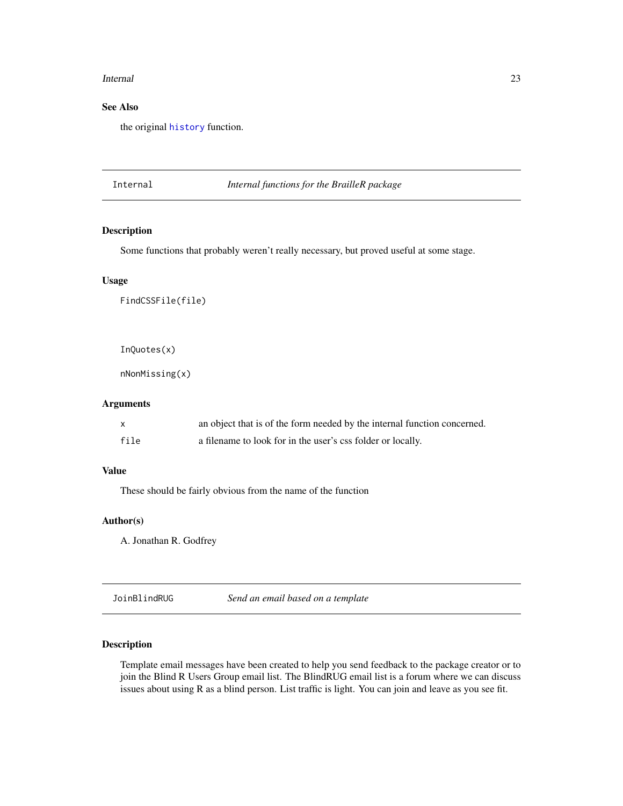#### <span id="page-22-0"></span>Internal 23

# See Also

the original [history](#page-21-1) function.

Internal *Internal functions for the BrailleR package*

# Description

Some functions that probably weren't really necessary, but proved useful at some stage.

# Usage

FindCSSFile(file)

InQuotes(x)

nNonMissing(x)

# Arguments

|      | an object that is of the form needed by the internal function concerned. |
|------|--------------------------------------------------------------------------|
| file | a filename to look for in the user's css folder or locally.              |

# Value

These should be fairly obvious from the name of the function

#### Author(s)

A. Jonathan R. Godfrey

JoinBlindRUG *Send an email based on a template*

# Description

Template email messages have been created to help you send feedback to the package creator or to join the Blind R Users Group email list. The BlindRUG email list is a forum where we can discuss issues about using R as a blind person. List traffic is light. You can join and leave as you see fit.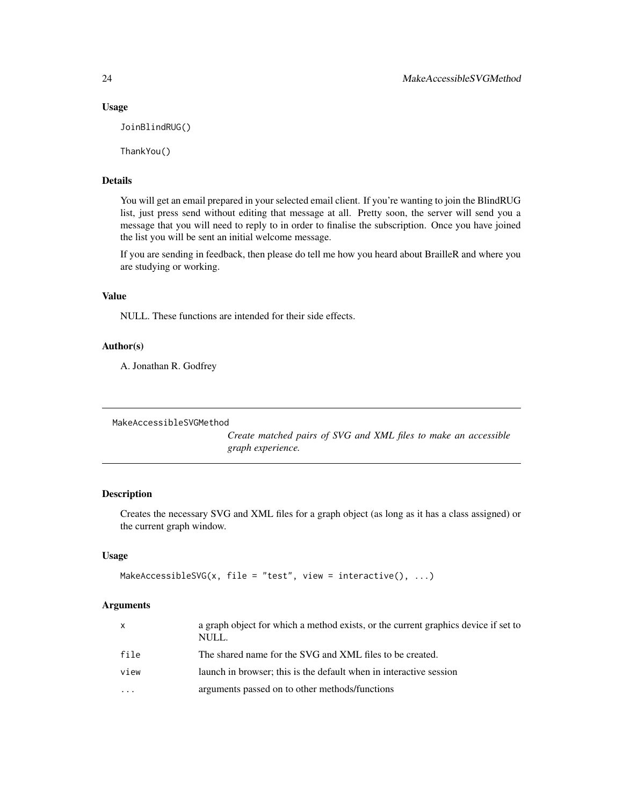#### Usage

JoinBlindRUG()

ThankYou()

# Details

You will get an email prepared in your selected email client. If you're wanting to join the BlindRUG list, just press send without editing that message at all. Pretty soon, the server will send you a message that you will need to reply to in order to finalise the subscription. Once you have joined the list you will be sent an initial welcome message.

If you are sending in feedback, then please do tell me how you heard about BrailleR and where you are studying or working.

# Value

NULL. These functions are intended for their side effects.

#### Author(s)

A. Jonathan R. Godfrey

MakeAccessibleSVGMethod

*Create matched pairs of SVG and XML files to make an accessible graph experience.*

#### Description

Creates the necessary SVG and XML files for a graph object (as long as it has a class assigned) or the current graph window.

# Usage

```
MakeAccessibleSVG(x, file = "test", view = interactive(), \dots)
```
# Arguments

| $\mathsf{X}$            | a graph object for which a method exists, or the current graphics device if set to<br>NULL. |
|-------------------------|---------------------------------------------------------------------------------------------|
| file                    | The shared name for the SVG and XML files to be created.                                    |
| view                    | launch in browser; this is the default when in interactive session                          |
| $\cdot$ $\cdot$ $\cdot$ | arguments passed on to other methods/functions                                              |
|                         |                                                                                             |

<span id="page-23-0"></span>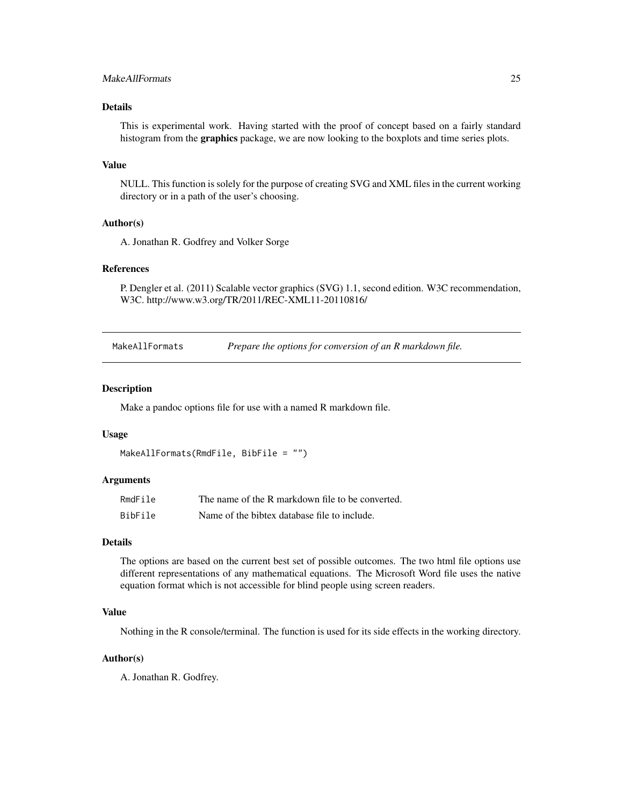# <span id="page-24-0"></span>MakeAllFormats 25

# Details

This is experimental work. Having started with the proof of concept based on a fairly standard histogram from the **graphics** package, we are now looking to the boxplots and time series plots.

#### Value

NULL. This function is solely for the purpose of creating SVG and XML files in the current working directory or in a path of the user's choosing.

# Author(s)

A. Jonathan R. Godfrey and Volker Sorge

# References

P. Dengler et al. (2011) Scalable vector graphics (SVG) 1.1, second edition. W3C recommendation, W3C. http://www.w3.org/TR/2011/REC-XML11-20110816/

MakeAllFormats *Prepare the options for conversion of an R markdown file.*

#### Description

Make a pandoc options file for use with a named R markdown file.

#### Usage

```
MakeAllFormats(RmdFile, BibFile = "")
```
#### Arguments

| RmdFile | The name of the R markdown file to be converted. |
|---------|--------------------------------------------------|
| BibFile | Name of the bibtex database file to include.     |

# Details

The options are based on the current best set of possible outcomes. The two html file options use different representations of any mathematical equations. The Microsoft Word file uses the native equation format which is not accessible for blind people using screen readers.

#### Value

Nothing in the R console/terminal. The function is used for its side effects in the working directory.

# Author(s)

A. Jonathan R. Godfrey.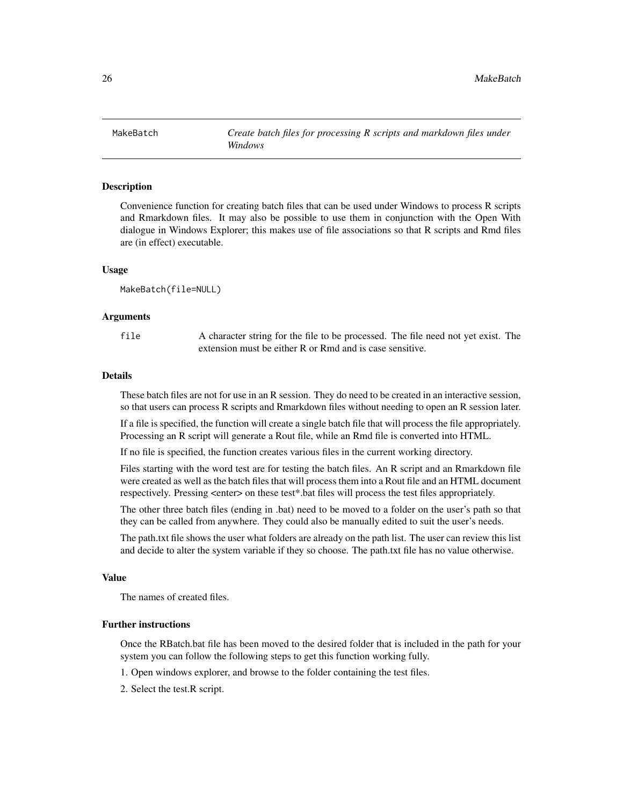<span id="page-25-1"></span><span id="page-25-0"></span>

Convenience function for creating batch files that can be used under Windows to process R scripts and Rmarkdown files. It may also be possible to use them in conjunction with the Open With dialogue in Windows Explorer; this makes use of file associations so that R scripts and Rmd files are (in effect) executable.

#### Usage

MakeBatch(file=NULL)

#### Arguments

file A character string for the file to be processed. The file need not yet exist. The extension must be either R or Rmd and is case sensitive.

#### Details

These batch files are not for use in an R session. They do need to be created in an interactive session, so that users can process R scripts and Rmarkdown files without needing to open an R session later.

If a file is specified, the function will create a single batch file that will process the file appropriately. Processing an R script will generate a Rout file, while an Rmd file is converted into HTML.

If no file is specified, the function creates various files in the current working directory.

Files starting with the word test are for testing the batch files. An R script and an Rmarkdown file were created as well as the batch files that will process them into a Rout file and an HTML document respectively. Pressing <enter> on these test\*.bat files will process the test files appropriately.

The other three batch files (ending in .bat) need to be moved to a folder on the user's path so that they can be called from anywhere. They could also be manually edited to suit the user's needs.

The path.txt file shows the user what folders are already on the path list. The user can review this list and decide to alter the system variable if they so choose. The path.txt file has no value otherwise.

#### Value

The names of created files.

# Further instructions

Once the RBatch.bat file has been moved to the desired folder that is included in the path for your system you can follow the following steps to get this function working fully.

1. Open windows explorer, and browse to the folder containing the test files.

2. Select the test.R script.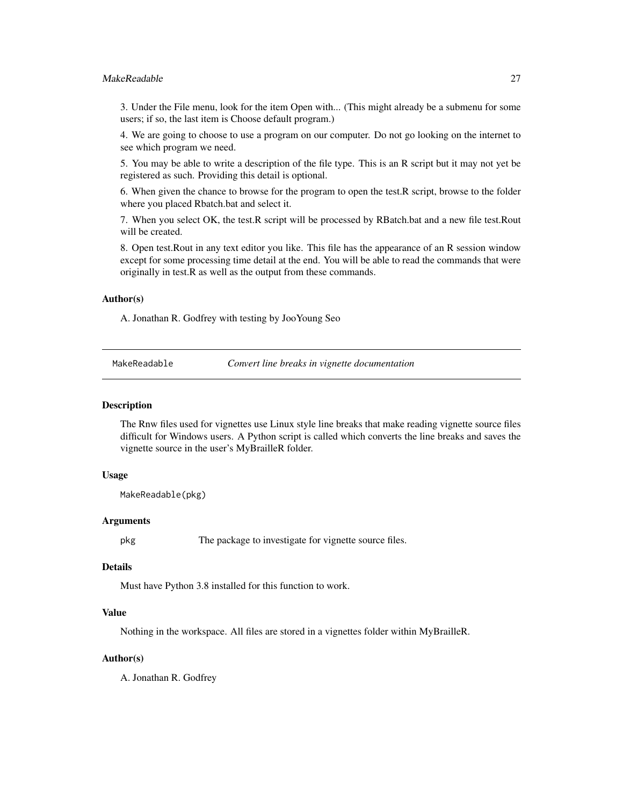# <span id="page-26-0"></span>MakeReadable 27

3. Under the File menu, look for the item Open with... (This might already be a submenu for some users; if so, the last item is Choose default program.)

4. We are going to choose to use a program on our computer. Do not go looking on the internet to see which program we need.

5. You may be able to write a description of the file type. This is an R script but it may not yet be registered as such. Providing this detail is optional.

6. When given the chance to browse for the program to open the test.R script, browse to the folder where you placed Rbatch.bat and select it.

7. When you select OK, the test.R script will be processed by RBatch.bat and a new file test.Rout will be created.

8. Open test.Rout in any text editor you like. This file has the appearance of an R session window except for some processing time detail at the end. You will be able to read the commands that were originally in test.R as well as the output from these commands.

#### Author(s)

A. Jonathan R. Godfrey with testing by JooYoung Seo

MakeReadable *Convert line breaks in vignette documentation*

#### **Description**

The Rnw files used for vignettes use Linux style line breaks that make reading vignette source files difficult for Windows users. A Python script is called which converts the line breaks and saves the vignette source in the user's MyBrailleR folder.

# Usage

```
MakeReadable(pkg)
```
#### Arguments

pkg The package to investigate for vignette source files.

# Details

Must have Python 3.8 installed for this function to work.

#### Value

Nothing in the workspace. All files are stored in a vignettes folder within MyBrailleR.

#### Author(s)

A. Jonathan R. Godfrey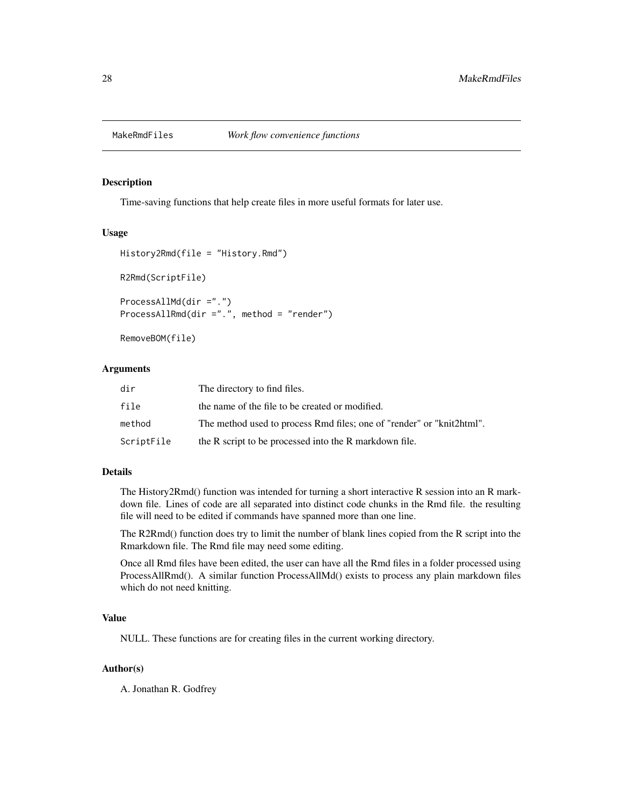<span id="page-27-0"></span>

Time-saving functions that help create files in more useful formats for later use.

#### Usage

```
History2Rmd(file = "History.Rmd")
R2Rmd(ScriptFile)
ProcessAllMd(dir =".")
ProcessAllRmd(dir =".", method = "render")
```
RemoveBOM(file)

# Arguments

| dir        | The directory to find files.                                          |
|------------|-----------------------------------------------------------------------|
| file       | the name of the file to be created or modified.                       |
| method     | The method used to process Rmd files; one of "render" or "knit2html". |
| ScriptFile | the R script to be processed into the R markdown file.                |

# Details

The History2Rmd() function was intended for turning a short interactive R session into an R markdown file. Lines of code are all separated into distinct code chunks in the Rmd file. the resulting file will need to be edited if commands have spanned more than one line.

The R2Rmd() function does try to limit the number of blank lines copied from the R script into the Rmarkdown file. The Rmd file may need some editing.

Once all Rmd files have been edited, the user can have all the Rmd files in a folder processed using ProcessAllRmd(). A similar function ProcessAllMd() exists to process any plain markdown files which do not need knitting.

#### Value

NULL. These functions are for creating files in the current working directory.

# Author(s)

A. Jonathan R. Godfrey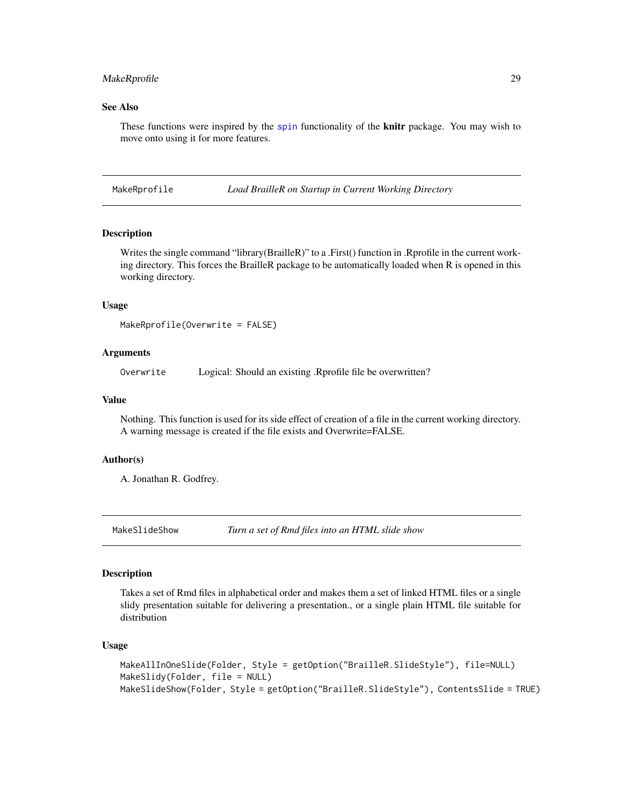# <span id="page-28-0"></span>MakeRprofile 29

# See Also

These functions were inspired by the [spin](#page-0-0) functionality of the **knitr** package. You may wish to move onto using it for more features.

MakeRprofile *Load BrailleR on Startup in Current Working Directory*

#### **Description**

Writes the single command "library(BrailleR)" to a .First() function in .Rprofile in the current working directory. This forces the BrailleR package to be automatically loaded when R is opened in this working directory.

#### Usage

MakeRprofile(Overwrite = FALSE)

# Arguments

Overwrite Logical: Should an existing .Rprofile file be overwritten?

#### Value

Nothing. This function is used for its side effect of creation of a file in the current working directory. A warning message is created if the file exists and Overwrite=FALSE.

# Author(s)

A. Jonathan R. Godfrey.

MakeSlideShow *Turn a set of Rmd files into an HTML slide show*

#### Description

Takes a set of Rmd files in alphabetical order and makes them a set of linked HTML files or a single slidy presentation suitable for delivering a presentation., or a single plain HTML file suitable for distribution

#### Usage

```
MakeAllInOneSlide(Folder, Style = getOption("BrailleR.SlideStyle"), file=NULL)
MakeSlidy(Folder, file = NULL)
MakeSlideShow(Folder, Style = getOption("BrailleR.SlideStyle"), ContentsSlide = TRUE)
```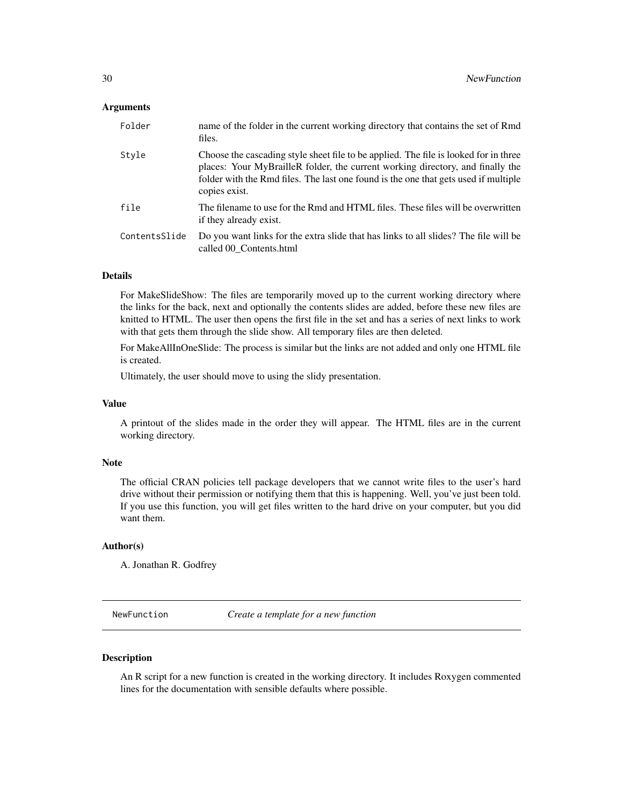# <span id="page-29-0"></span>**Arguments**

| Folder        | name of the folder in the current working directory that contains the set of Rmd<br>files.                                                                                                                                                                                     |
|---------------|--------------------------------------------------------------------------------------------------------------------------------------------------------------------------------------------------------------------------------------------------------------------------------|
| Style         | Choose the cascading style sheet file to be applied. The file is looked for in three<br>places: Your MyBrailleR folder, the current working directory, and finally the<br>folder with the Rmd files. The last one found is the one that gets used if multiple<br>copies exist. |
| file          | The filename to use for the Rmd and HTML files. These files will be overwritten<br>if they already exist.                                                                                                                                                                      |
| ContentsSlide | Do you want links for the extra slide that has links to all slides? The file will be<br>called 00 Contents.html                                                                                                                                                                |

#### Details

For MakeSlideShow: The files are temporarily moved up to the current working directory where the links for the back, next and optionally the contents slides are added, before these new files are knitted to HTML. The user then opens the first file in the set and has a series of next links to work with that gets them through the slide show. All temporary files are then deleted.

For MakeAllInOneSlide: The process is similar but the links are not added and only one HTML file is created.

Ultimately, the user should move to using the slidy presentation.

# Value

A printout of the slides made in the order they will appear. The HTML files are in the current working directory.

#### Note

The official CRAN policies tell package developers that we cannot write files to the user's hard drive without their permission or notifying them that this is happening. Well, you've just been told. If you use this function, you will get files written to the hard drive on your computer, but you did want them.

#### Author(s)

A. Jonathan R. Godfrey

NewFunction *Create a template for a new function*

#### Description

An R script for a new function is created in the working directory. It includes Roxygen commented lines for the documentation with sensible defaults where possible.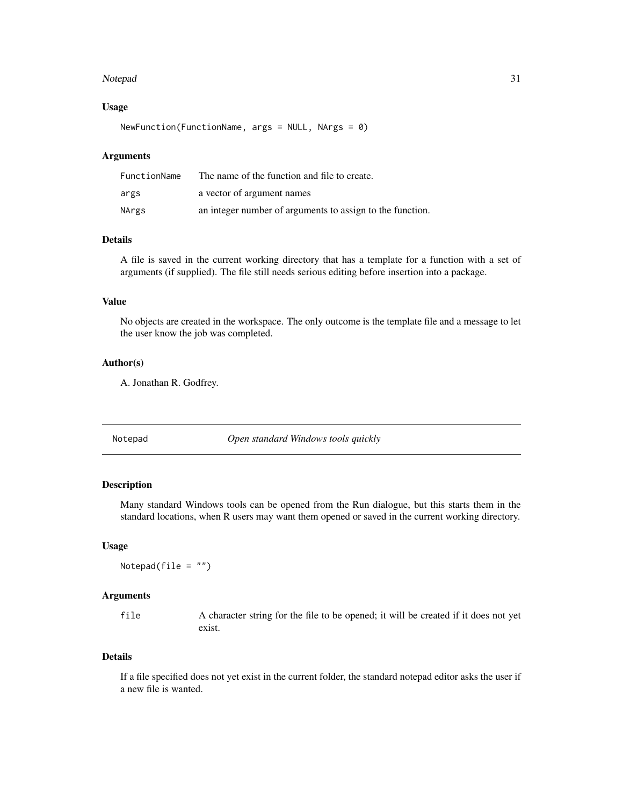#### <span id="page-30-0"></span>Notepad 31

#### Usage

NewFunction(FunctionName, args = NULL, NArgs = 0)

# Arguments

| FunctionName | The name of the function and file to create.              |
|--------------|-----------------------------------------------------------|
| args         | a vector of argument names                                |
| NArgs        | an integer number of arguments to assign to the function. |

# Details

A file is saved in the current working directory that has a template for a function with a set of arguments (if supplied). The file still needs serious editing before insertion into a package.

# Value

No objects are created in the workspace. The only outcome is the template file and a message to let the user know the job was completed.

# Author(s)

A. Jonathan R. Godfrey.

Notepad *Open standard Windows tools quickly*

# Description

Many standard Windows tools can be opened from the Run dialogue, but this starts them in the standard locations, when R users may want them opened or saved in the current working directory.

#### Usage

Notepad(file =  $"$ )

#### Arguments

file A character string for the file to be opened; it will be created if it does not yet exist.

# Details

If a file specified does not yet exist in the current folder, the standard notepad editor asks the user if a new file is wanted.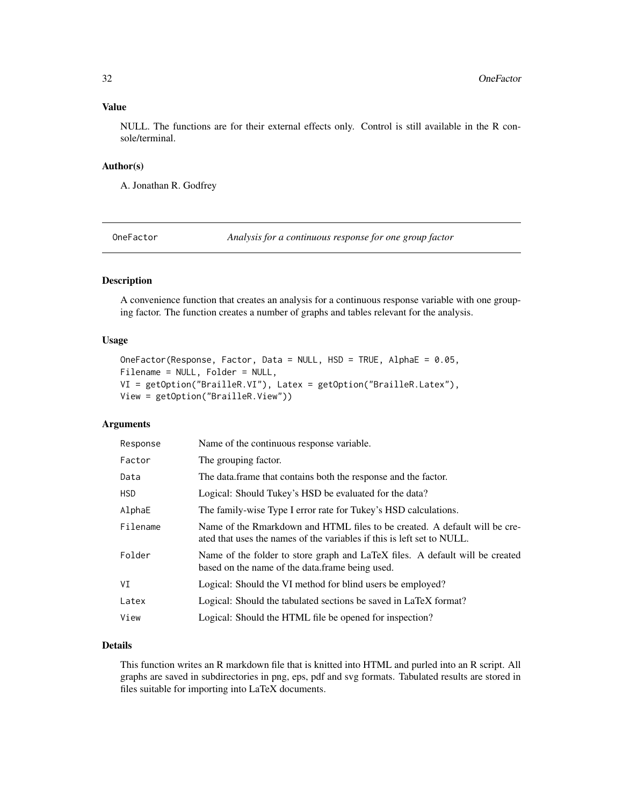# <span id="page-31-0"></span>Value

NULL. The functions are for their external effects only. Control is still available in the R console/terminal.

#### Author(s)

A. Jonathan R. Godfrey

<span id="page-31-1"></span>OneFactor *Analysis for a continuous response for one group factor*

# Description

A convenience function that creates an analysis for a continuous response variable with one grouping factor. The function creates a number of graphs and tables relevant for the analysis.

# Usage

```
OneFactor(Response, Factor, Data = NULL, HSD = TRUE, AlphaE = 0.05,
Filename = NULL, Folder = NULL,
VI = getOption("BrailleR.VI"), Latex = getOption("BrailleR.Latex"),
View = getOption("BrailleR.View"))
```
# Arguments

| Response   | Name of the continuous response variable.                                                                                                            |
|------------|------------------------------------------------------------------------------------------------------------------------------------------------------|
| Factor     | The grouping factor.                                                                                                                                 |
| Data       | The data frame that contains both the response and the factor.                                                                                       |
| <b>HSD</b> | Logical: Should Tukey's HSD be evaluated for the data?                                                                                               |
| AlphaE     | The family-wise Type I error rate for Tukey's HSD calculations.                                                                                      |
| Filename   | Name of the Rmarkdown and HTML files to be created. A default will be cre-<br>ated that uses the names of the variables if this is left set to NULL. |
| Folder     | Name of the folder to store graph and LaTeX files. A default will be created<br>based on the name of the data. frame being used.                     |
| VI         | Logical: Should the VI method for blind users be employed?                                                                                           |
| Latex      | Logical: Should the tabulated sections be saved in LaTeX format?                                                                                     |
| View       | Logical: Should the HTML file be opened for inspection?                                                                                              |

# Details

This function writes an R markdown file that is knitted into HTML and purled into an R script. All graphs are saved in subdirectories in png, eps, pdf and svg formats. Tabulated results are stored in files suitable for importing into LaTeX documents.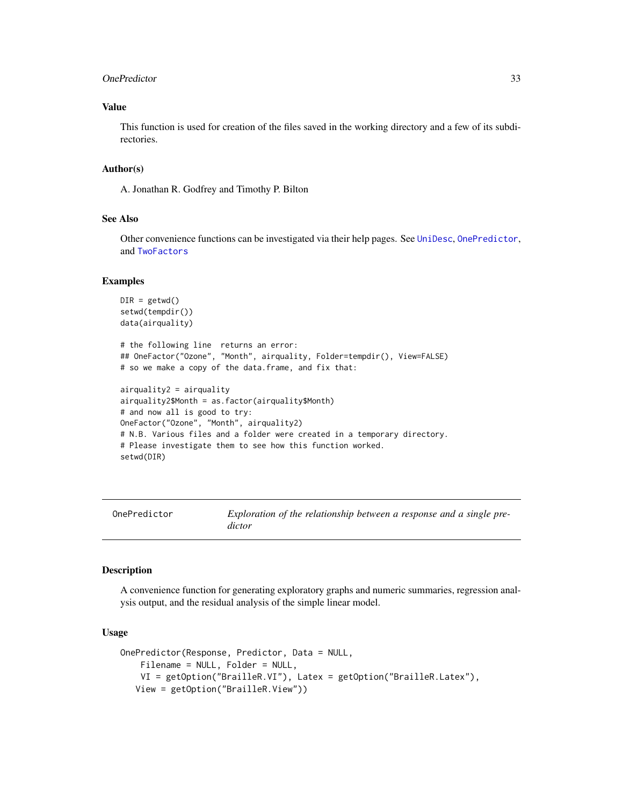#### <span id="page-32-0"></span>OnePredictor 33

# Value

This function is used for creation of the files saved in the working directory and a few of its subdirectories.

#### Author(s)

A. Jonathan R. Godfrey and Timothy P. Bilton

# See Also

Other convenience functions can be investigated via their help pages. See [UniDesc](#page-51-1), [OnePredictor](#page-32-1), and [TwoFactors](#page-48-1)

#### Examples

```
DIR = getwd()setwd(tempdir())
data(airquality)
# the following line returns an error:
## OneFactor("Ozone", "Month", airquality, Folder=tempdir(), View=FALSE)
# so we make a copy of the data.frame, and fix that:
airquality2 = airquality
airquality2$Month = as.factor(airquality$Month)
# and now all is good to try:
OneFactor("Ozone", "Month", airquality2)
# N.B. Various files and a folder were created in a temporary directory.
# Please investigate them to see how this function worked.
setwd(DIR)
```
<span id="page-32-1"></span>OnePredictor *Exploration of the relationship between a response and a single predictor*

#### **Description**

A convenience function for generating exploratory graphs and numeric summaries, regression analysis output, and the residual analysis of the simple linear model.

# Usage

```
OnePredictor(Response, Predictor, Data = NULL,
   Filename = NULL, Folder = NULL,
   VI = getOption("BrailleR.VI"), Latex = getOption("BrailleR.Latex"),
   View = getOption("BrailleR.View"))
```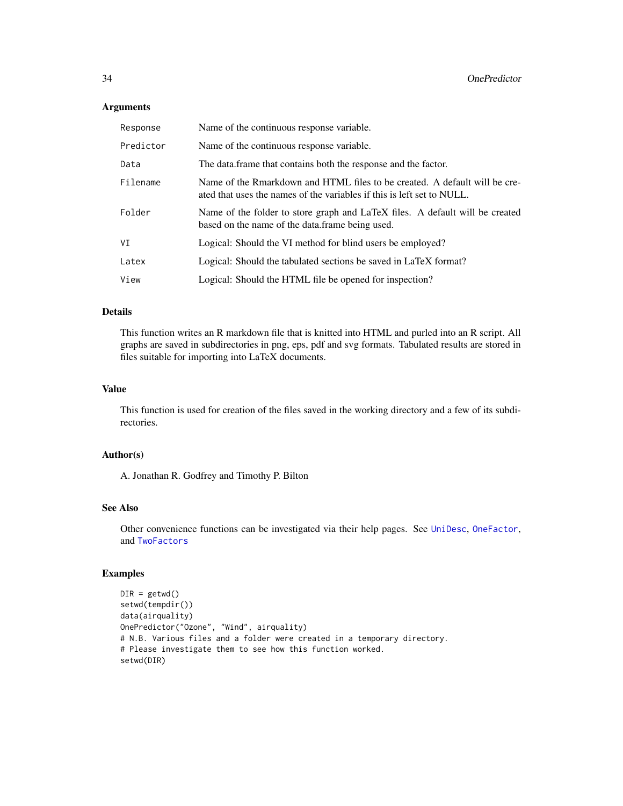# <span id="page-33-0"></span>Arguments

| Response  | Name of the continuous response variable.                                                                                                            |
|-----------|------------------------------------------------------------------------------------------------------------------------------------------------------|
| Predictor | Name of the continuous response variable.                                                                                                            |
| Data      | The data frame that contains both the response and the factor.                                                                                       |
| Filename  | Name of the Rmarkdown and HTML files to be created. A default will be cre-<br>ated that uses the names of the variables if this is left set to NULL. |
| Folder    | Name of the folder to store graph and LaTeX files. A default will be created<br>based on the name of the data. frame being used.                     |
| VI        | Logical: Should the VI method for blind users be employed?                                                                                           |
| Latex     | Logical: Should the tabulated sections be saved in LaTeX format?                                                                                     |
| View      | Logical: Should the HTML file be opened for inspection?                                                                                              |

#### Details

This function writes an R markdown file that is knitted into HTML and purled into an R script. All graphs are saved in subdirectories in png, eps, pdf and svg formats. Tabulated results are stored in files suitable for importing into LaTeX documents.

# Value

This function is used for creation of the files saved in the working directory and a few of its subdirectories.

# Author(s)

A. Jonathan R. Godfrey and Timothy P. Bilton

#### See Also

Other convenience functions can be investigated via their help pages. See [UniDesc](#page-51-1), [OneFactor](#page-31-1), and [TwoFactors](#page-48-1)

# Examples

```
DIR = getwd()setwd(tempdir())
data(airquality)
OnePredictor("Ozone", "Wind", airquality)
# N.B. Various files and a folder were created in a temporary directory.
# Please investigate them to see how this function worked.
setwd(DIR)
```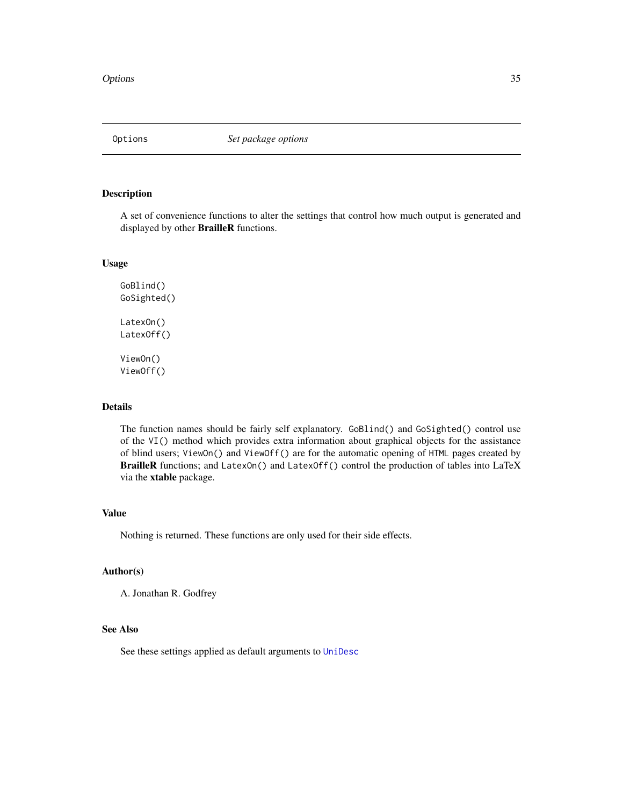<span id="page-34-1"></span><span id="page-34-0"></span>

A set of convenience functions to alter the settings that control how much output is generated and displayed by other BrailleR functions.

# Usage

```
GoBlind()
GoSighted()
LatexOn()
LatexOff()
ViewOn()
ViewOff()
```
# Details

The function names should be fairly self explanatory. GoBlind() and GoSighted() control use of the VI() method which provides extra information about graphical objects for the assistance of blind users; ViewOn() and ViewOff() are for the automatic opening of HTML pages created by BrailleR functions; and LatexOn() and LatexOff() control the production of tables into LaTeX via the xtable package.

#### Value

Nothing is returned. These functions are only used for their side effects.

#### Author(s)

A. Jonathan R. Godfrey

# See Also

See these settings applied as default arguments to [UniDesc](#page-51-1)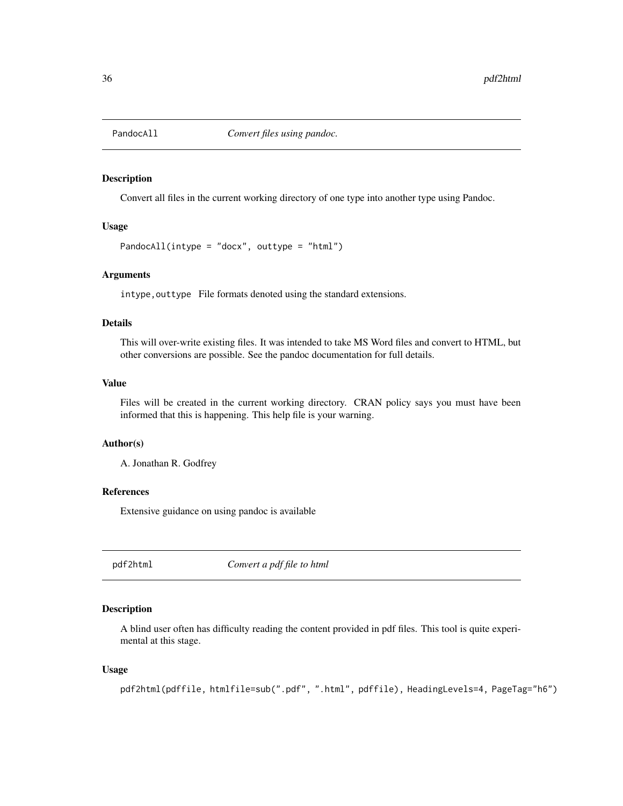<span id="page-35-0"></span>

Convert all files in the current working directory of one type into another type using Pandoc.

#### Usage

PandocAll(intype = "docx", outtype = "html")

# Arguments

intype, outtype File formats denoted using the standard extensions.

#### Details

This will over-write existing files. It was intended to take MS Word files and convert to HTML, but other conversions are possible. See the pandoc documentation for full details.

#### Value

Files will be created in the current working directory. CRAN policy says you must have been informed that this is happening. This help file is your warning.

#### Author(s)

A. Jonathan R. Godfrey

# References

Extensive guidance on using pandoc is available

pdf2html *Convert a pdf file to html*

#### Description

A blind user often has difficulty reading the content provided in pdf files. This tool is quite experimental at this stage.

#### Usage

```
pdf2html(pdffile, htmlfile=sub(".pdf", ".html", pdffile), HeadingLevels=4, PageTag="h6")
```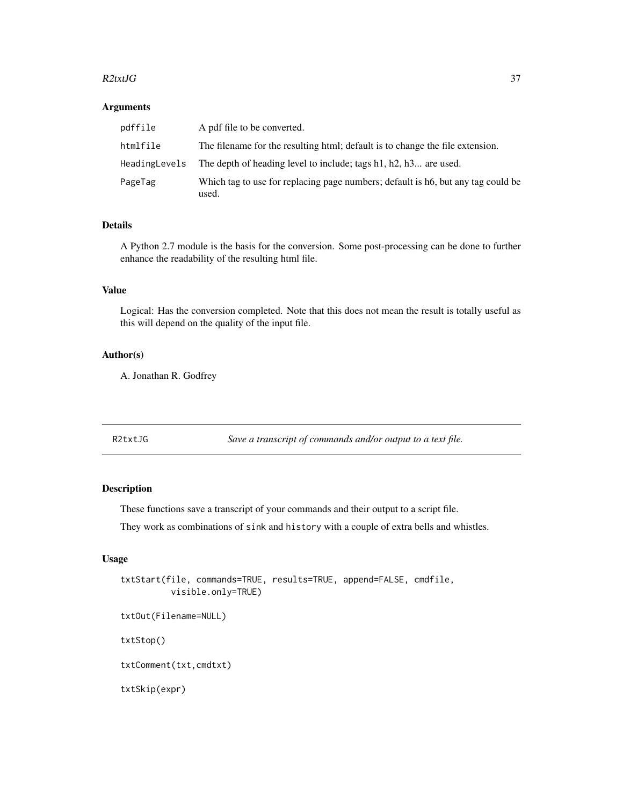#### <span id="page-36-0"></span> $R2txtJG$  37

#### Arguments

| pdffile       | A pdf file to be converted.                                                               |
|---------------|-------------------------------------------------------------------------------------------|
| htmlfile      | The filename for the resulting html; default is to change the file extension.             |
| HeadingLevels | The depth of heading level to include; tags h1, h2, h3 are used.                          |
| PageTag       | Which tag to use for replacing page numbers; default is h6, but any tag could be<br>used. |

# Details

A Python 2.7 module is the basis for the conversion. Some post-processing can be done to further enhance the readability of the resulting html file.

# Value

Logical: Has the conversion completed. Note that this does not mean the result is totally useful as this will depend on the quality of the input file.

#### Author(s)

A. Jonathan R. Godfrey

R2txtJG *Save a transcript of commands and/or output to a text file.*

# Description

These functions save a transcript of your commands and their output to a script file.

They work as combinations of sink and history with a couple of extra bells and whistles.

# Usage

```
txtStart(file, commands=TRUE, results=TRUE, append=FALSE, cmdfile,
         visible.only=TRUE)
```

```
txtOut(Filename=NULL)
```
txtStop()

txtComment(txt,cmdtxt)

txtSkip(expr)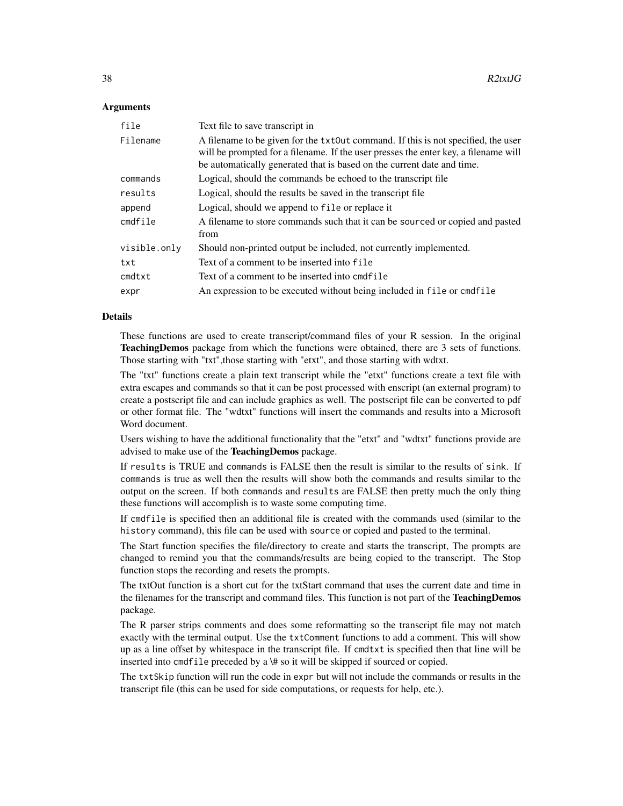#### Arguments

| file                 | Text file to save transcript in                                                                                                                                                                                                                    |
|----------------------|----------------------------------------------------------------------------------------------------------------------------------------------------------------------------------------------------------------------------------------------------|
| Filename             | A filename to be given for the txt0ut command. If this is not specified, the user<br>will be prompted for a filename. If the user presses the enter key, a filename will<br>be automatically generated that is based on the current date and time. |
| commands             | Logical, should the commands be echoed to the transcript file                                                                                                                                                                                      |
| results              | Logical, should the results be saved in the transcript file                                                                                                                                                                                        |
| append               | Logical, should we append to file or replace it                                                                                                                                                                                                    |
| cmdfile              | A filename to store commands such that it can be sourced or copied and pasted<br>from                                                                                                                                                              |
| visible.only         | Should non-printed output be included, not currently implemented.                                                                                                                                                                                  |
| txt                  | Text of a comment to be inserted into file                                                                                                                                                                                                         |
| $cmd$ <sub>x</sub> t | Text of a comment to be inserted into cmdfile                                                                                                                                                                                                      |
| expr                 | An expression to be executed without being included in file or cmdfile                                                                                                                                                                             |

#### Details

These functions are used to create transcript/command files of your R session. In the original Teaching Demos package from which the functions were obtained, there are 3 sets of functions. Those starting with "txt",those starting with "etxt", and those starting with wdtxt.

The "txt" functions create a plain text transcript while the "etxt" functions create a text file with extra escapes and commands so that it can be post processed with enscript (an external program) to create a postscript file and can include graphics as well. The postscript file can be converted to pdf or other format file. The "wdtxt" functions will insert the commands and results into a Microsoft Word document.

Users wishing to have the additional functionality that the "etxt" and "wdtxt" functions provide are advised to make use of the TeachingDemos package.

If results is TRUE and commands is FALSE then the result is similar to the results of sink. If commands is true as well then the results will show both the commands and results similar to the output on the screen. If both commands and results are FALSE then pretty much the only thing these functions will accomplish is to waste some computing time.

If cmdfile is specified then an additional file is created with the commands used (similar to the history command), this file can be used with source or copied and pasted to the terminal.

The Start function specifies the file/directory to create and starts the transcript, The prompts are changed to remind you that the commands/results are being copied to the transcript. The Stop function stops the recording and resets the prompts.

The txtOut function is a short cut for the txtStart command that uses the current date and time in the filenames for the transcript and command files. This function is not part of the **TeachingDemos** package.

The R parser strips comments and does some reformatting so the transcript file may not match exactly with the terminal output. Use the txtComment functions to add a comment. This will show up as a line offset by whitespace in the transcript file. If cmdtxt is specified then that line will be inserted into cmdfile preceded by a \# so it will be skipped if sourced or copied.

The txtSkip function will run the code in expr but will not include the commands or results in the transcript file (this can be used for side computations, or requests for help, etc.).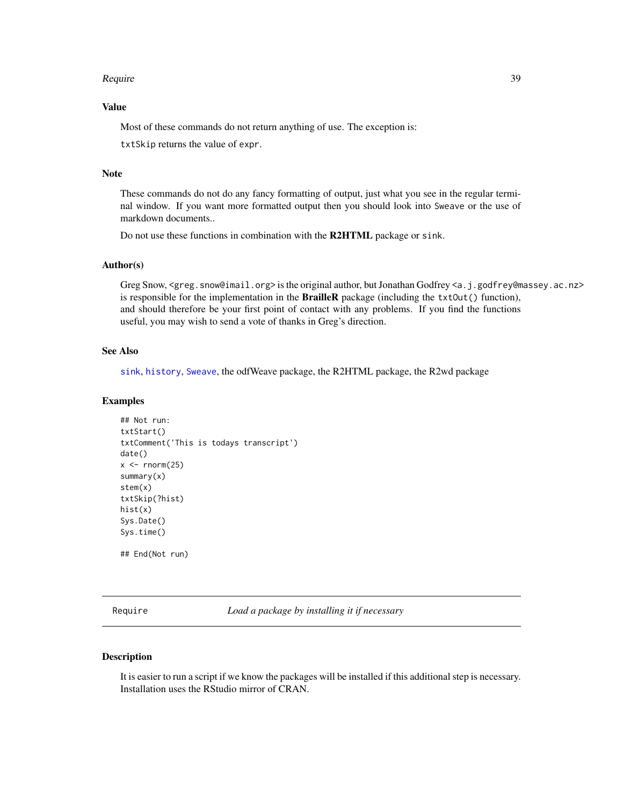#### <span id="page-38-0"></span>Require the set of the set of the set of the set of the set of the set of the set of the set of the set of the set of the set of the set of the set of the set of the set of the set of the set of the set of the set of the s

# Value

Most of these commands do not return anything of use. The exception is:

txtSkip returns the value of expr.

# Note

These commands do not do any fancy formatting of output, just what you see in the regular terminal window. If you want more formatted output then you should look into Sweave or the use of markdown documents..

Do not use these functions in combination with the R2HTML package or sink.

# Author(s)

Greg Snow, <greg.snow@imail.org> is the original author, but Jonathan Godfrey <a.j.godfrey@massey.ac.nz> is responsible for the implementation in the **BrailleR** package (including the  $txtx+10u$ ), and should therefore be your first point of contact with any problems. If you find the functions useful, you may wish to send a vote of thanks in Greg's direction.

# See Also

[sink](#page-0-0), [history](#page-21-1), [Sweave](#page-0-0), the odfWeave package, the R2HTML package, the R2wd package

#### Examples

```
## Not run:
txtStart()
txtComment('This is todays transcript')
date()
x < - rnorm(25)
summary(x)
stem(x)
txtSkip(?hist)
hist(x)
Sys.Date()
Sys.time()
## End(Not run)
```
Require *Load a package by installing it if necessary*

#### Description

It is easier to run a script if we know the packages will be installed if this additional step is necessary. Installation uses the RStudio mirror of CRAN.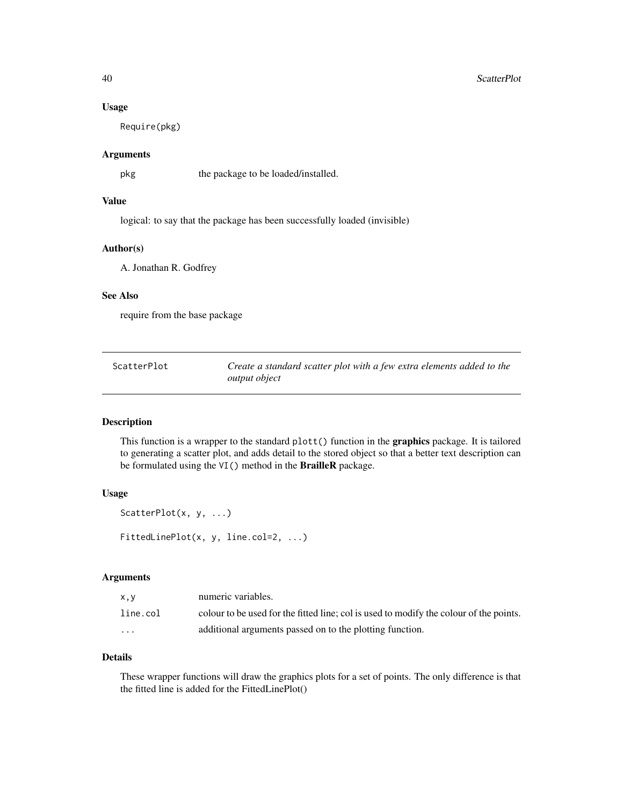#### <span id="page-39-0"></span>Usage

Require(pkg)

# Arguments

pkg the package to be loaded/installed.

# Value

logical: to say that the package has been successfully loaded (invisible)

# Author(s)

A. Jonathan R. Godfrey

# See Also

require from the base package

ScatterPlot *Create a standard scatter plot with a few extra elements added to the output object*

#### Description

This function is a wrapper to the standard plott() function in the graphics package. It is tailored to generating a scatter plot, and adds detail to the stored object so that a better text description can be formulated using the VI() method in the BrailleR package.

# Usage

```
ScatterPlot(x, y, ...)
FittedLinePlot(x, y, line.col=2, ...)
```
# Arguments

| x, y     | numeric variables.                                                                     |
|----------|----------------------------------------------------------------------------------------|
| line.col | colour to be used for the fitted line; col is used to modify the colour of the points. |
| $\cdots$ | additional arguments passed on to the plotting function.                               |

#### Details

These wrapper functions will draw the graphics plots for a set of points. The only difference is that the fitted line is added for the FittedLinePlot()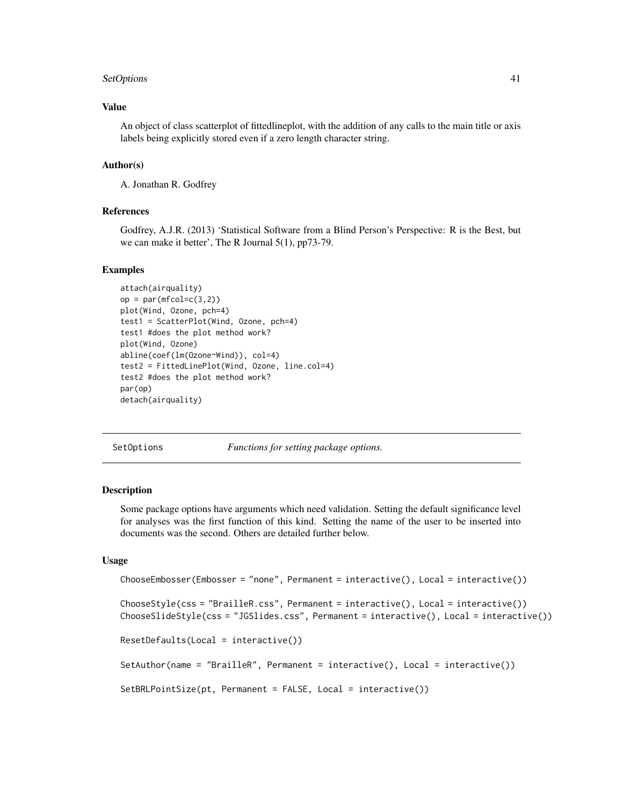#### <span id="page-40-0"></span>SetOptions 41

# Value

An object of class scatterplot of fittedlineplot, with the addition of any calls to the main title or axis labels being explicitly stored even if a zero length character string.

#### Author(s)

A. Jonathan R. Godfrey

# References

Godfrey, A.J.R. (2013) 'Statistical Software from a Blind Person's Perspective: R is the Best, but we can make it better', The R Journal 5(1), pp73-79.

#### Examples

```
attach(airquality)
op = par(mfcol=c(3,2))plot(Wind, Ozone, pch=4)
test1 = ScatterPlot(Wind, Ozone, pch=4)
test1 #does the plot method work?
plot(Wind, Ozone)
abline(coef(lm(Ozone~Wind)), col=4)
test2 = FittedLinePlot(Wind, Ozone, line.col=4)
test2 #does the plot method work?
par(op)
detach(airquality)
```
SetOptions *Functions for setting package options.*

# <span id="page-40-1"></span>Description

Some package options have arguments which need validation. Setting the default significance level for analyses was the first function of this kind. Setting the name of the user to be inserted into documents was the second. Others are detailed further below.

# Usage

```
ChooseEmbosser(Embosser = "none", Permanent = interactive(), Local = interactive())
ChooseStyle(css = "BrailleR.css", Permanent = interactive(), Local = interactive())
ChooseSlideStyle(css = "JGSlides.css", Permanent = interactive(), Local = interactive())
ResetDefaults(Local = interactive())
SetAuthor(name = "BrailleR", Permanent = interactive(), Local = interactive())
SetBRLPointSize(pt, Permanent = FALSE, Local = interactive())
```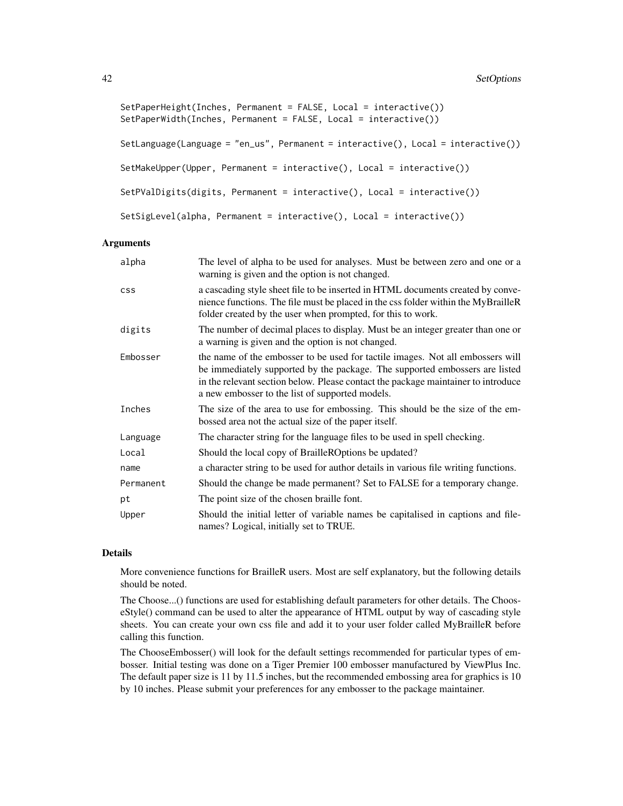```
SetPaperHeight(Inches, Permanent = FALSE, Local = interactive())
SetPaperWidth(Inches, Permanent = FALSE, Local = interactive())
SetLanguage(Language = "en_us", Permanent = interactive(), Local = interactive())
SetMakeUpper(Upper, Permanent = interactive(), Local = interactive())
SetPValDigits(digits, Permanent = interactive(), Local = interactive())
SetSigLevel(alpha, Permanent = interactive(), Local = interactive())
```
#### Arguments

| alpha      | The level of alpha to be used for analyses. Must be between zero and one or a<br>warning is given and the option is not changed.                                                                                                                                                                      |
|------------|-------------------------------------------------------------------------------------------------------------------------------------------------------------------------------------------------------------------------------------------------------------------------------------------------------|
| <b>CSS</b> | a cascading style sheet file to be inserted in HTML documents created by conve-<br>nience functions. The file must be placed in the css folder within the MyBrailleR<br>folder created by the user when prompted, for this to work.                                                                   |
| digits     | The number of decimal places to display. Must be an integer greater than one or<br>a warning is given and the option is not changed.                                                                                                                                                                  |
| Embosser   | the name of the embosser to be used for tactile images. Not all embossers will<br>be immediately supported by the package. The supported embossers are listed<br>in the relevant section below. Please contact the package maintainer to introduce<br>a new embosser to the list of supported models. |
| Inches     | The size of the area to use for embossing. This should be the size of the em-<br>bossed area not the actual size of the paper itself.                                                                                                                                                                 |
| Language   | The character string for the language files to be used in spell checking.                                                                                                                                                                                                                             |
| Local      | Should the local copy of BrailleROptions be updated?                                                                                                                                                                                                                                                  |
| name       | a character string to be used for author details in various file writing functions.                                                                                                                                                                                                                   |
| Permanent  | Should the change be made permanent? Set to FALSE for a temporary change.                                                                                                                                                                                                                             |
| pt         | The point size of the chosen braille font.                                                                                                                                                                                                                                                            |
| Upper      | Should the initial letter of variable names be capitalised in captions and file-<br>names? Logical, initially set to TRUE.                                                                                                                                                                            |

#### Details

More convenience functions for BrailleR users. Most are self explanatory, but the following details should be noted.

The Choose...() functions are used for establishing default parameters for other details. The ChooseStyle() command can be used to alter the appearance of HTML output by way of cascading style sheets. You can create your own css file and add it to your user folder called MyBrailleR before calling this function.

The ChooseEmbosser() will look for the default settings recommended for particular types of embosser. Initial testing was done on a Tiger Premier 100 embosser manufactured by ViewPlus Inc. The default paper size is 11 by 11.5 inches, but the recommended embossing area for graphics is 10 by 10 inches. Please submit your preferences for any embosser to the package maintainer.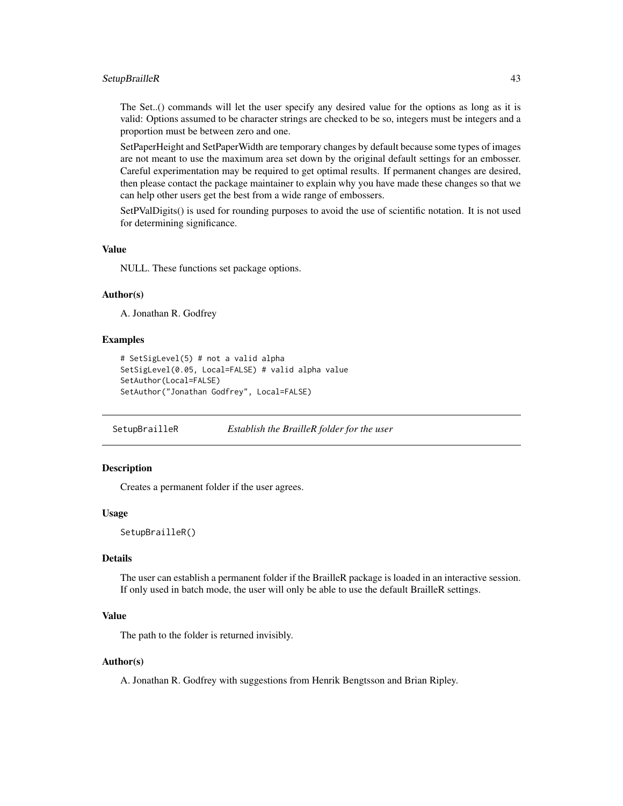# <span id="page-42-0"></span>SetupBrailleR 43

The Set..() commands will let the user specify any desired value for the options as long as it is valid: Options assumed to be character strings are checked to be so, integers must be integers and a proportion must be between zero and one.

SetPaperHeight and SetPaperWidth are temporary changes by default because some types of images are not meant to use the maximum area set down by the original default settings for an embosser. Careful experimentation may be required to get optimal results. If permanent changes are desired, then please contact the package maintainer to explain why you have made these changes so that we can help other users get the best from a wide range of embossers.

SetPValDigits() is used for rounding purposes to avoid the use of scientific notation. It is not used for determining significance.

#### Value

NULL. These functions set package options.

#### Author(s)

A. Jonathan R. Godfrey

# Examples

```
# SetSigLevel(5) # not a valid alpha
SetSigLevel(0.05, Local=FALSE) # valid alpha value
SetAuthor(Local=FALSE)
SetAuthor("Jonathan Godfrey", Local=FALSE)
```
SetupBrailleR *Establish the BrailleR folder for the user*

# **Description**

Creates a permanent folder if the user agrees.

#### Usage

```
SetupBrailleR()
```
# Details

The user can establish a permanent folder if the BrailleR package is loaded in an interactive session. If only used in batch mode, the user will only be able to use the default BrailleR settings.

#### Value

The path to the folder is returned invisibly.

# Author(s)

A. Jonathan R. Godfrey with suggestions from Henrik Bengtsson and Brian Ripley.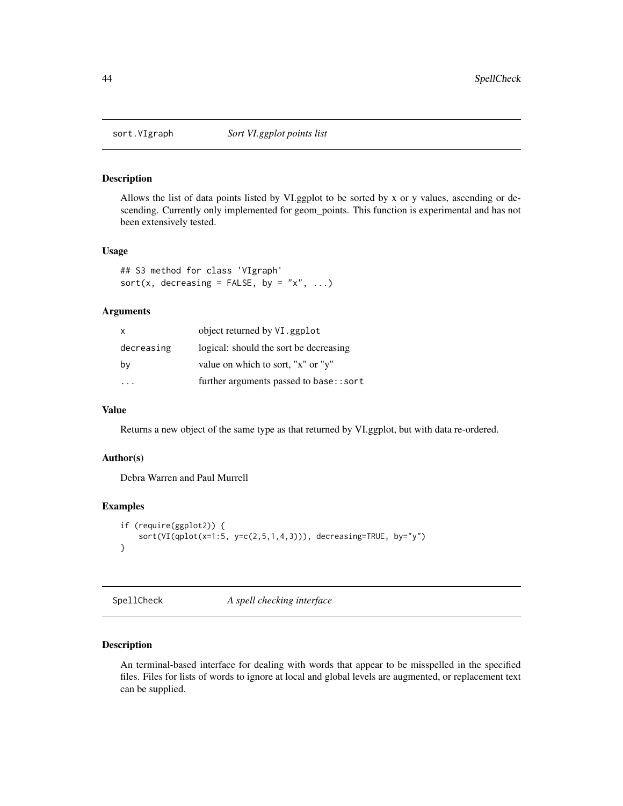<span id="page-43-0"></span>

Allows the list of data points listed by VI.ggplot to be sorted by x or y values, ascending or descending. Currently only implemented for geom\_points. This function is experimental and has not been extensively tested.

# Usage

```
## S3 method for class 'VIgraph'
sort(x, decreasing = FALSE, by = "x", \dots)
```
#### Arguments

| X          | object returned by VI.ggplot           |
|------------|----------------------------------------|
| decreasing | logical: should the sort be decreasing |
| by         | value on which to sort, "x" or "y"     |
|            | further arguments passed to base::sort |

# Value

Returns a new object of the same type as that returned by VI.ggplot, but with data re-ordered.

# Author(s)

Debra Warren and Paul Murrell

#### Examples

```
if (require(ggplot2)) {
    sort(VI(qplot(x=1:5, y=c(2,5,1,4,3))), decreasing=TRUE, by="y")
}
```
SpellCheck *A spell checking interface*

# Description

An terminal-based interface for dealing with words that appear to be misspelled in the specified files. Files for lists of words to ignore at local and global levels are augmented, or replacement text can be supplied.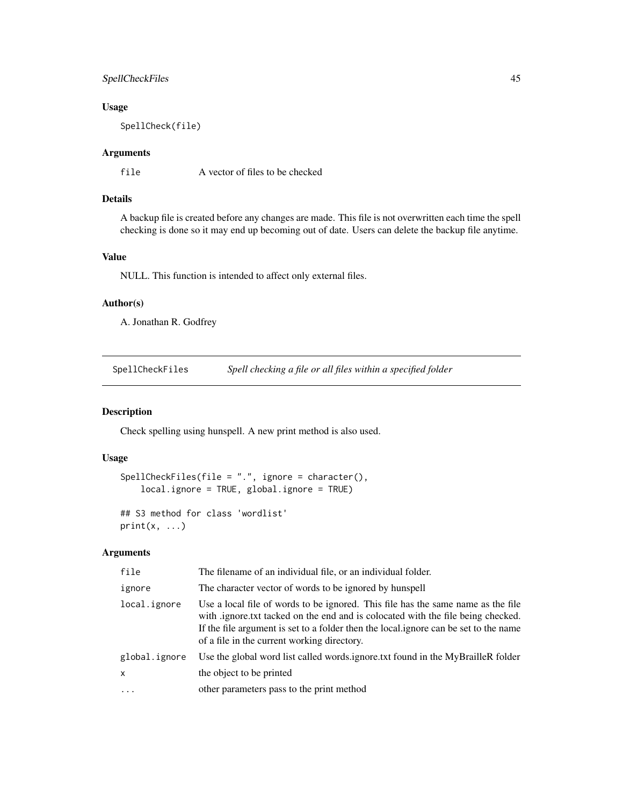# <span id="page-44-0"></span>SpellCheckFiles 45

# Usage

SpellCheck(file)

# Arguments

file A vector of files to be checked

# Details

A backup file is created before any changes are made. This file is not overwritten each time the spell checking is done so it may end up becoming out of date. Users can delete the backup file anytime.

# Value

NULL. This function is intended to affect only external files.

#### Author(s)

A. Jonathan R. Godfrey

SpellCheckFiles *Spell checking a file or all files within a specified folder*

# Description

Check spelling using hunspell. A new print method is also used.

# Usage

```
SpellCheckFiles(file = ".", ignore = character(),
   local.ignore = TRUE, global.ignore = TRUE)
```

```
## S3 method for class 'wordlist'
print(x, \ldots)
```
# Arguments

| file          | The filename of an individual file, or an individual folder.                                                                                                                                                                                                                                              |
|---------------|-----------------------------------------------------------------------------------------------------------------------------------------------------------------------------------------------------------------------------------------------------------------------------------------------------------|
| ignore        | The character vector of words to be ignored by hunspell                                                                                                                                                                                                                                                   |
| local.ignore  | Use a local file of words to be ignored. This file has the same name as the file<br>with ignore txt tacked on the end and is colocated with the file being checked.<br>If the file argument is set to a folder then the local gnore can be set to the name<br>of a file in the current working directory. |
| global.ignore | Use the global word list called words.ignore.txt found in the MyBrailleR folder                                                                                                                                                                                                                           |
| $\mathsf{x}$  | the object to be printed                                                                                                                                                                                                                                                                                  |
| $\cdot$       | other parameters pass to the print method                                                                                                                                                                                                                                                                 |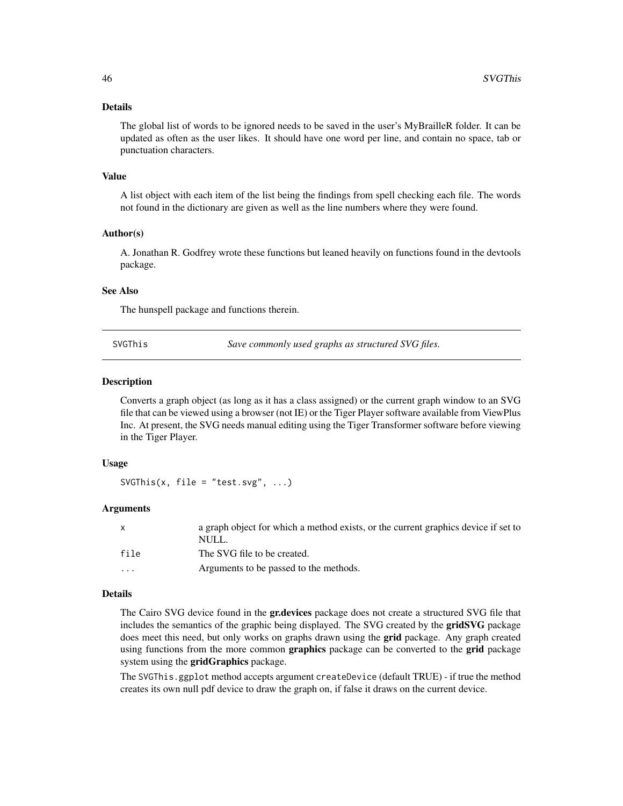#### <span id="page-45-0"></span>Details

The global list of words to be ignored needs to be saved in the user's MyBrailleR folder. It can be updated as often as the user likes. It should have one word per line, and contain no space, tab or punctuation characters.

#### Value

A list object with each item of the list being the findings from spell checking each file. The words not found in the dictionary are given as well as the line numbers where they were found.

#### Author(s)

A. Jonathan R. Godfrey wrote these functions but leaned heavily on functions found in the devtools package.

# See Also

The hunspell package and functions therein.

SVGThis *Save commonly used graphs as structured SVG files.*

#### **Description**

Converts a graph object (as long as it has a class assigned) or the current graph window to an SVG file that can be viewed using a browser (not IE) or the Tiger Player software available from ViewPlus Inc. At present, the SVG needs manual editing using the Tiger Transformer software before viewing in the Tiger Player.

#### Usage

SVGThis(x, file = "test.svg",  $\ldots$ )

#### Arguments

| $\mathsf{X}$            | a graph object for which a method exists, or the current graphics device if set to<br>NULL. |
|-------------------------|---------------------------------------------------------------------------------------------|
| file                    | The SVG file to be created.                                                                 |
| $\cdot$ $\cdot$ $\cdot$ | Arguments to be passed to the methods.                                                      |

#### Details

The Cairo SVG device found in the **gr.devices** package does not create a structured SVG file that includes the semantics of the graphic being displayed. The SVG created by the gridSVG package does meet this need, but only works on graphs drawn using the **grid** package. Any graph created using functions from the more common graphics package can be converted to the grid package system using the gridGraphics package.

The SVGThis.ggplot method accepts argument createDevice (default TRUE) - if true the method creates its own null pdf device to draw the graph on, if false it draws on the current device.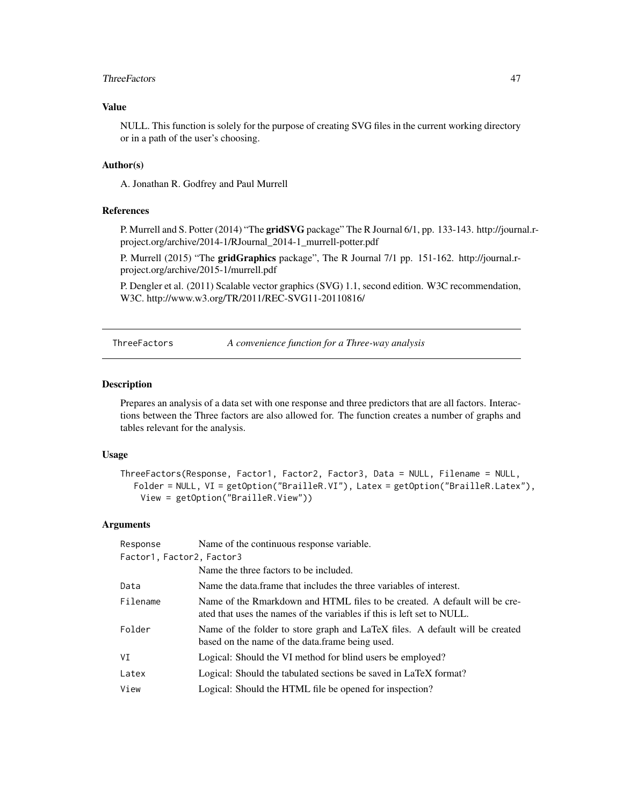#### <span id="page-46-0"></span>ThreeFactors **47**

# Value

NULL. This function is solely for the purpose of creating SVG files in the current working directory or in a path of the user's choosing.

#### Author(s)

A. Jonathan R. Godfrey and Paul Murrell

#### References

P. Murrell and S. Potter (2014) "The gridSVG package" The R Journal 6/1, pp. 133-143. http://journal.rproject.org/archive/2014-1/RJournal\_2014-1\_murrell-potter.pdf

P. Murrell (2015) "The gridGraphics package", The R Journal 7/1 pp. 151-162. http://journal.rproject.org/archive/2015-1/murrell.pdf

P. Dengler et al. (2011) Scalable vector graphics (SVG) 1.1, second edition. W3C recommendation, W3C. http://www.w3.org/TR/2011/REC-SVG11-20110816/

ThreeFactors *A convenience function for a Three-way analysis*

#### Description

Prepares an analysis of a data set with one response and three predictors that are all factors. Interactions between the Three factors are also allowed for. The function creates a number of graphs and tables relevant for the analysis.

# Usage

```
ThreeFactors(Response, Factor1, Factor2, Factor3, Data = NULL, Filename = NULL,
  Folder = NULL, VI = getOption("BrailleR.VI"), Latex = getOption("BrailleR.Latex"),
    View = getOption("BrailleR.View"))
```
#### Arguments

| Response                  | Name of the continuous response variable.                                                                                                            |  |
|---------------------------|------------------------------------------------------------------------------------------------------------------------------------------------------|--|
| Factor1, Factor2, Factor3 |                                                                                                                                                      |  |
|                           | Name the three factors to be included.                                                                                                               |  |
| Data                      | Name the data frame that includes the three variables of interest.                                                                                   |  |
| Filename                  | Name of the Rmarkdown and HTML files to be created. A default will be cre-<br>ated that uses the names of the variables if this is left set to NULL. |  |
| Folder                    | Name of the folder to store graph and LaTeX files. A default will be created<br>based on the name of the data.frame being used.                      |  |
| VI                        | Logical: Should the VI method for blind users be employed?                                                                                           |  |
| Latex                     | Logical: Should the tabulated sections be saved in LaTeX format?                                                                                     |  |
| View                      | Logical: Should the HTML file be opened for inspection?                                                                                              |  |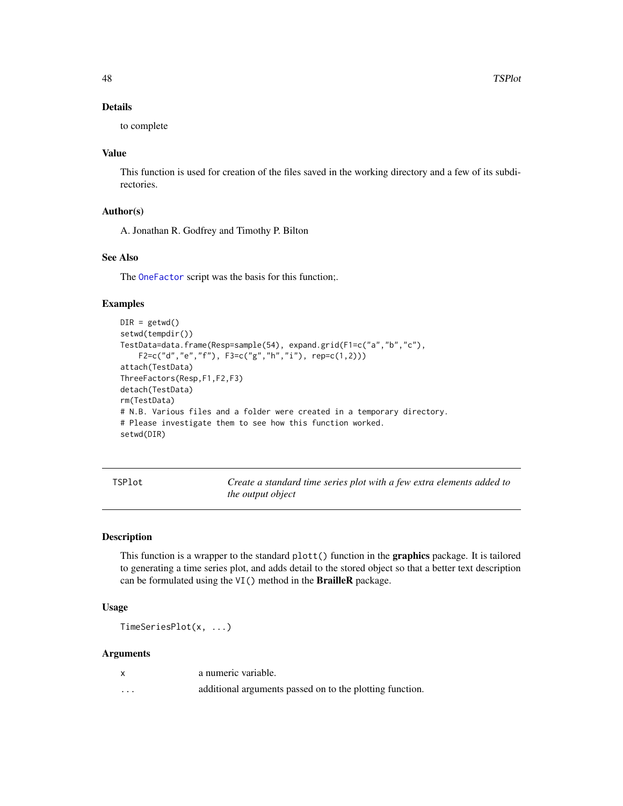# <span id="page-47-0"></span>Details

to complete

#### Value

This function is used for creation of the files saved in the working directory and a few of its subdirectories.

## Author(s)

A. Jonathan R. Godfrey and Timothy P. Bilton

# See Also

The [OneFactor](#page-31-1) script was the basis for this function;.

#### Examples

```
DIR = getwd()setwd(tempdir())
TestData=data.frame(Resp=sample(54), expand.grid(F1=c("a","b","c"),
   F2=c("d","e","f"), F3=c("g","h","i"), rep=c(1,2)))
attach(TestData)
ThreeFactors(Resp,F1,F2,F3)
detach(TestData)
rm(TestData)
# N.B. Various files and a folder were created in a temporary directory.
# Please investigate them to see how this function worked.
setwd(DIR)
```
TSPlot *Create a standard time series plot with a few extra elements added to the output object*

#### Description

This function is a wrapper to the standard plott() function in the **graphics** package. It is tailored to generating a time series plot, and adds detail to the stored object so that a better text description can be formulated using the VI() method in the BrailleR package.

# Usage

TimeSeriesPlot(x, ...)

# Arguments

|   | a numeric variable.                                      |
|---|----------------------------------------------------------|
| . | additional arguments passed on to the plotting function. |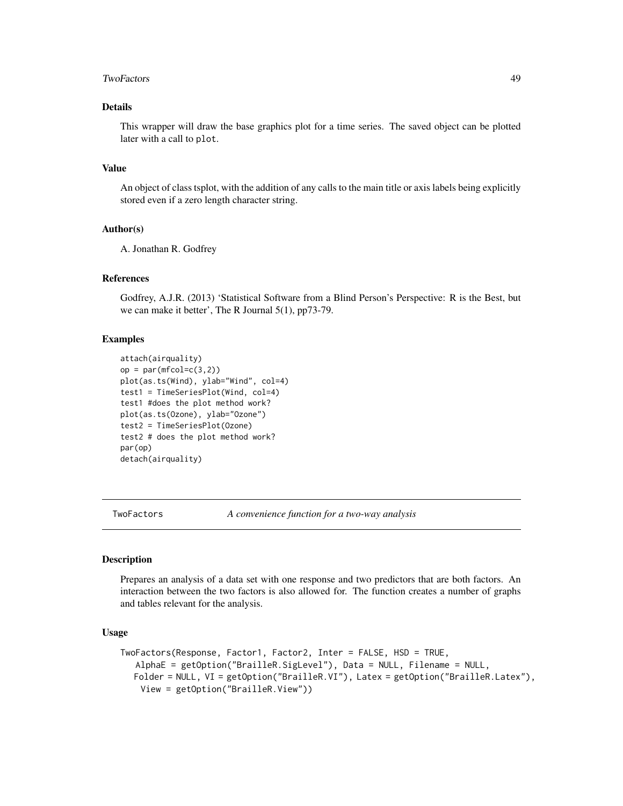#### <span id="page-48-0"></span>TwoFactors 49

# Details

This wrapper will draw the base graphics plot for a time series. The saved object can be plotted later with a call to plot.

#### Value

An object of class tsplot, with the addition of any calls to the main title or axis labels being explicitly stored even if a zero length character string.

# Author(s)

A. Jonathan R. Godfrey

# References

Godfrey, A.J.R. (2013) 'Statistical Software from a Blind Person's Perspective: R is the Best, but we can make it better', The R Journal 5(1), pp73-79.

# Examples

```
attach(airquality)
op = par(mfcol=c(3,2))plot(as.ts(Wind), ylab="Wind", col=4)
test1 = TimeSeriesPlot(Wind, col=4)
test1 #does the plot method work?
plot(as.ts(Ozone), ylab="Ozone")
test2 = TimeSeriesPlot(Ozone)
test2 # does the plot method work?
par(op)
detach(airquality)
```
<span id="page-48-1"></span>TwoFactors *A convenience function for a two-way analysis*

# Description

Prepares an analysis of a data set with one response and two predictors that are both factors. An interaction between the two factors is also allowed for. The function creates a number of graphs and tables relevant for the analysis.

#### Usage

```
TwoFactors(Response, Factor1, Factor2, Inter = FALSE, HSD = TRUE,
  AlphaE = getOption("BrailleR.SigLevel"), Data = NULL, Filename = NULL,
  Folder = NULL, VI = getOption("BrailleR.VI"), Latex = getOption("BrailleR.Latex"),
   View = getOption("BrailleR.View"))
```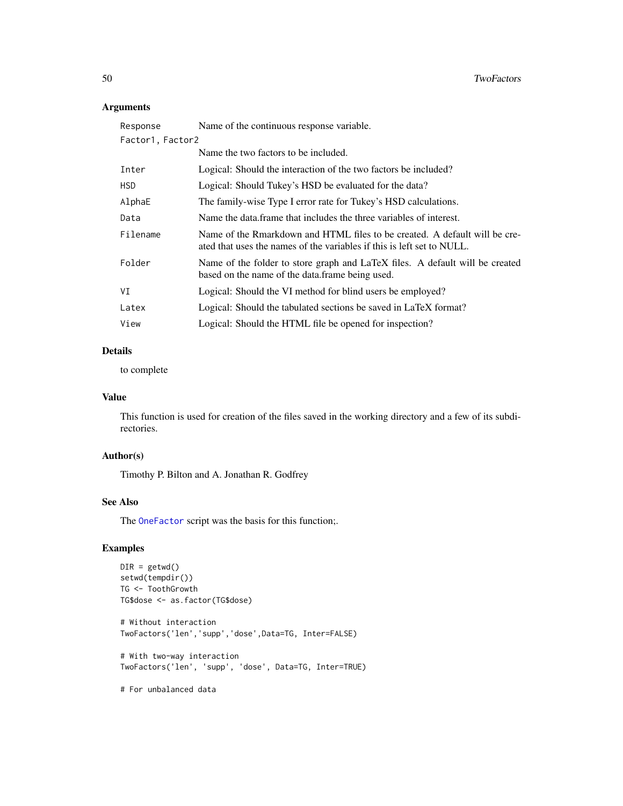# <span id="page-49-0"></span>Arguments

| Response         | Name of the continuous response variable.                                                                                                            |
|------------------|------------------------------------------------------------------------------------------------------------------------------------------------------|
| Factor1, Factor2 |                                                                                                                                                      |
|                  | Name the two factors to be included.                                                                                                                 |
| Inter            | Logical: Should the interaction of the two factors be included?                                                                                      |
| HSD.             | Logical: Should Tukey's HSD be evaluated for the data?                                                                                               |
| AlphaE           | The family-wise Type I error rate for Tukey's HSD calculations.                                                                                      |
| Data             | Name the data frame that includes the three variables of interest.                                                                                   |
| Filename         | Name of the Rmarkdown and HTML files to be created. A default will be cre-<br>ated that uses the names of the variables if this is left set to NULL. |
| Folder           | Name of the folder to store graph and LaTeX files. A default will be created<br>based on the name of the data. frame being used.                     |
| VI               | Logical: Should the VI method for blind users be employed?                                                                                           |
| Latex            | Logical: Should the tabulated sections be saved in LaTeX format?                                                                                     |
| View             | Logical: Should the HTML file be opened for inspection?                                                                                              |

# Details

to complete

# Value

This function is used for creation of the files saved in the working directory and a few of its subdirectories.

# Author(s)

Timothy P. Bilton and A. Jonathan R. Godfrey

# See Also

The [OneFactor](#page-31-1) script was the basis for this function;.

# Examples

```
DIR = getwd()setwd(tempdir())
TG <- ToothGrowth
TG$dose <- as.factor(TG$dose)
# Without interaction
TwoFactors('len','supp','dose',Data=TG, Inter=FALSE)
# With two-way interaction
TwoFactors('len', 'supp', 'dose', Data=TG, Inter=TRUE)
# For unbalanced data
```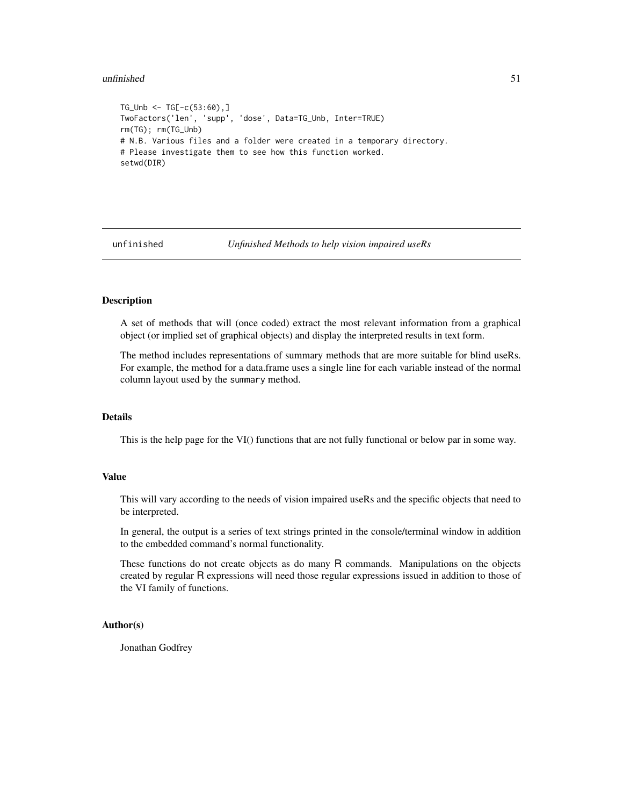#### <span id="page-50-0"></span> $unfinished$  51

```
TG\_Unb \leq TGC - c(53:60), ]
TwoFactors('len', 'supp', 'dose', Data=TG_Unb, Inter=TRUE)
rm(TG); rm(TG_Unb)
# N.B. Various files and a folder were created in a temporary directory.
# Please investigate them to see how this function worked.
setwd(DIR)
```
unfinished *Unfinished Methods to help vision impaired useRs*

#### Description

A set of methods that will (once coded) extract the most relevant information from a graphical object (or implied set of graphical objects) and display the interpreted results in text form.

The method includes representations of summary methods that are more suitable for blind useRs. For example, the method for a data.frame uses a single line for each variable instead of the normal column layout used by the summary method.

# Details

This is the help page for the VI() functions that are not fully functional or below par in some way.

#### Value

This will vary according to the needs of vision impaired useRs and the specific objects that need to be interpreted.

In general, the output is a series of text strings printed in the console/terminal window in addition to the embedded command's normal functionality.

These functions do not create objects as do many R commands. Manipulations on the objects created by regular R expressions will need those regular expressions issued in addition to those of the VI family of functions.

# Author(s)

Jonathan Godfrey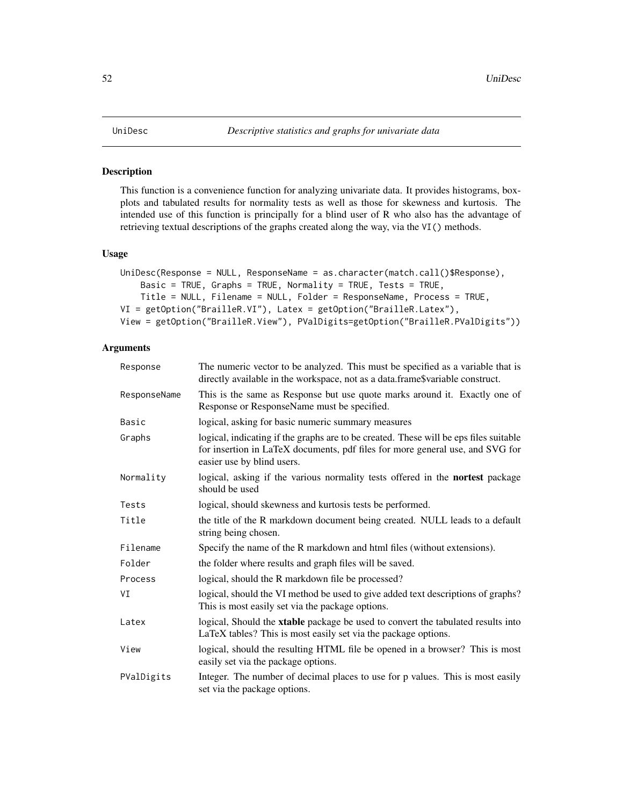<span id="page-51-1"></span><span id="page-51-0"></span>This function is a convenience function for analyzing univariate data. It provides histograms, boxplots and tabulated results for normality tests as well as those for skewness and kurtosis. The intended use of this function is principally for a blind user of R who also has the advantage of retrieving textual descriptions of the graphs created along the way, via the VI() methods.

#### Usage

```
UniDesc(Response = NULL, ResponseName = as.character(match.call()$Response),
    Basic = TRUE, Graphs = TRUE, Normality = TRUE, Tests = TRUE,
    Title = NULL, Filename = NULL, Folder = ResponseName, Process = TRUE,
VI = getOption("BrailleR.VI"), Latex = getOption("BrailleR.Latex"),
View = getOption("BrailleR.View"), PValDigits=getOption("BrailleR.PValDigits"))
```
# Arguments

| Response     | The numeric vector to be analyzed. This must be specified as a variable that is<br>directly available in the workspace, not as a data.frame\$variable construct.                                     |
|--------------|------------------------------------------------------------------------------------------------------------------------------------------------------------------------------------------------------|
| ResponseName | This is the same as Response but use quote marks around it. Exactly one of<br>Response or ResponseName must be specified.                                                                            |
| Basic        | logical, asking for basic numeric summary measures                                                                                                                                                   |
| Graphs       | logical, indicating if the graphs are to be created. These will be eps files suitable<br>for insertion in LaTeX documents, pdf files for more general use, and SVG for<br>easier use by blind users. |
| Normality    | logical, asking if the various normality tests offered in the nortest package<br>should be used                                                                                                      |
| Tests        | logical, should skewness and kurtosis tests be performed.                                                                                                                                            |
| Title        | the title of the R markdown document being created. NULL leads to a default<br>string being chosen.                                                                                                  |
| Filename     | Specify the name of the R markdown and html files (without extensions).                                                                                                                              |
| Folder       | the folder where results and graph files will be saved.                                                                                                                                              |
| Process      | logical, should the R markdown file be processed?                                                                                                                                                    |
| VI           | logical, should the VI method be used to give added text descriptions of graphs?<br>This is most easily set via the package options.                                                                 |
| Latex        | logical, Should the xtable package be used to convert the tabulated results into<br>LaTeX tables? This is most easily set via the package options.                                                   |
| View         | logical, should the resulting HTML file be opened in a browser? This is most<br>easily set via the package options.                                                                                  |
| PValDigits   | Integer. The number of decimal places to use for p values. This is most easily<br>set via the package options.                                                                                       |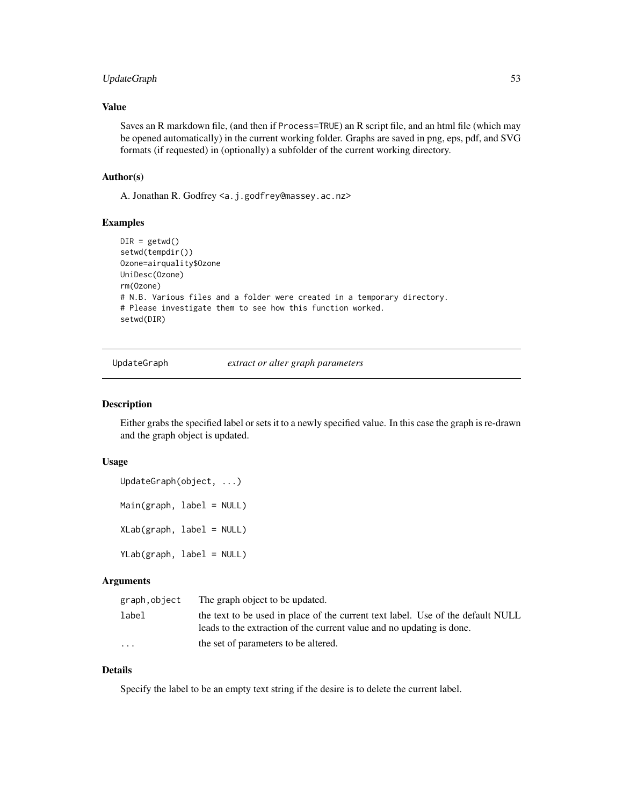# <span id="page-52-0"></span>UpdateGraph 53

# Value

Saves an R markdown file, (and then if Process=TRUE) an R script file, and an html file (which may be opened automatically) in the current working folder. Graphs are saved in png, eps, pdf, and SVG formats (if requested) in (optionally) a subfolder of the current working directory.

#### Author(s)

A. Jonathan R. Godfrey <a.j.godfrey@massey.ac.nz>

# Examples

```
DIR = getwd()setwd(tempdir())
Ozone=airquality$Ozone
UniDesc(Ozone)
rm(Ozone)
# N.B. Various files and a folder were created in a temporary directory.
# Please investigate them to see how this function worked.
setwd(DIR)
```
UpdateGraph *extract or alter graph parameters*

# Description

Either grabs the specified label or sets it to a newly specified value. In this case the graph is re-drawn and the graph object is updated.

#### Usage

UpdateGraph(object, ...) Main(graph, label = NULL) XLab(graph, label = NULL) YLab(graph, label = NULL)

# **Arguments**

| graph,object | The graph object to be updated.                                                                                                                          |
|--------------|----------------------------------------------------------------------------------------------------------------------------------------------------------|
| label        | the text to be used in place of the current text label. Use of the default NULL<br>leads to the extraction of the current value and no updating is done. |
| $\cdots$     | the set of parameters to be altered.                                                                                                                     |

# Details

Specify the label to be an empty text string if the desire is to delete the current label.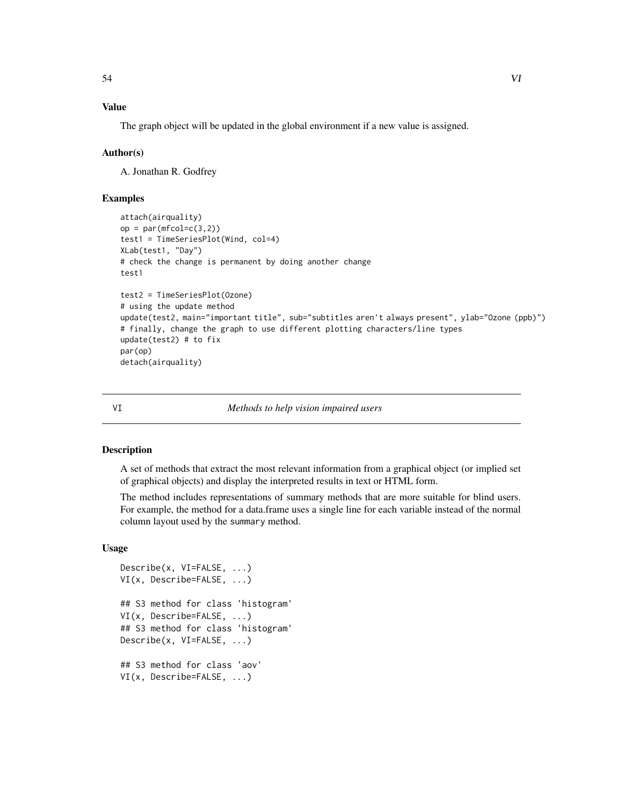# <span id="page-53-0"></span>Value

The graph object will be updated in the global environment if a new value is assigned.

# Author(s)

A. Jonathan R. Godfrey

# Examples

```
attach(airquality)
op = par(mfcol=c(3,2))test1 = TimeSeriesPlot(Wind, col=4)
XLab(test1, "Day")
# check the change is permanent by doing another change
test1
test2 = TimeSeriesPlot(Ozone)
# using the update method
update(test2, main="important title", sub="subtitles aren't always present", ylab="Ozone (ppb)")
# finally, change the graph to use different plotting characters/line types
update(test2) # to fix
par(op)
detach(airquality)
```
#### VI *Methods to help vision impaired users*

#### Description

A set of methods that extract the most relevant information from a graphical object (or implied set of graphical objects) and display the interpreted results in text or HTML form.

The method includes representations of summary methods that are more suitable for blind users. For example, the method for a data.frame uses a single line for each variable instead of the normal column layout used by the summary method.

# Usage

```
Describe(x, VI=FALSE, ...)
VI(x, Describe=FALSE, ...)
## S3 method for class 'histogram'
VI(x, Describe=FALSE, ...)
## S3 method for class 'histogram'
Describe(x, VI=FALSE, ...)
## S3 method for class 'aov'
VI(x, Describe=FALSE, ...)
```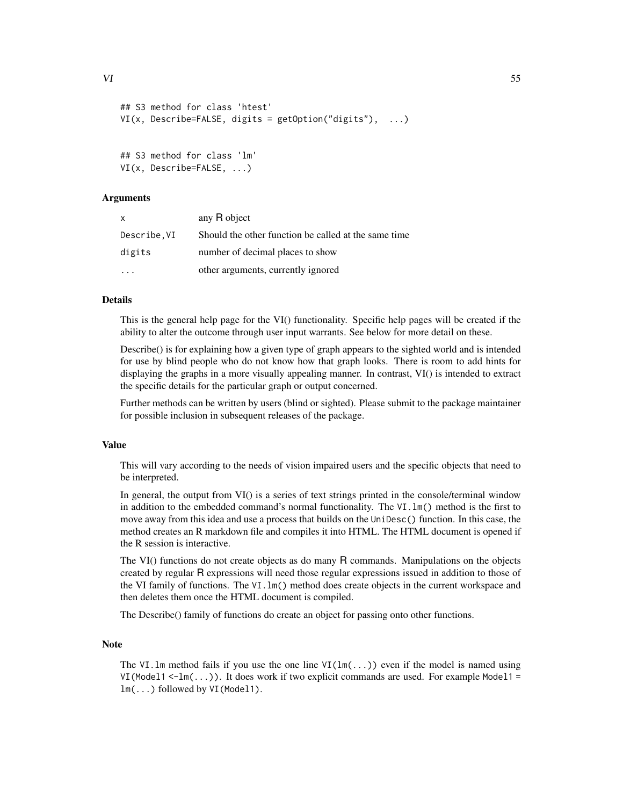```
## S3 method for class 'htest'
VI(x, Describe=FALSE, digits = getOption("digits"), ...)
```

```
## S3 method for class 'lm'
VI(x, Describe=FALSE, ...)
```
#### Arguments

| x           | any R object                                         |
|-------------|------------------------------------------------------|
| Describe.VI | Should the other function be called at the same time |
| digits      | number of decimal places to show                     |
|             | other arguments, currently ignored                   |

#### Details

This is the general help page for the VI() functionality. Specific help pages will be created if the ability to alter the outcome through user input warrants. See below for more detail on these.

Describe() is for explaining how a given type of graph appears to the sighted world and is intended for use by blind people who do not know how that graph looks. There is room to add hints for displaying the graphs in a more visually appealing manner. In contrast, VI() is intended to extract the specific details for the particular graph or output concerned.

Further methods can be written by users (blind or sighted). Please submit to the package maintainer for possible inclusion in subsequent releases of the package.

#### Value

This will vary according to the needs of vision impaired users and the specific objects that need to be interpreted.

In general, the output from VI() is a series of text strings printed in the console/terminal window in addition to the embedded command's normal functionality. The VI.lm() method is the first to move away from this idea and use a process that builds on the UniDesc() function. In this case, the method creates an R markdown file and compiles it into HTML. The HTML document is opened if the R session is interactive.

The VI() functions do not create objects as do many R commands. Manipulations on the objects created by regular R expressions will need those regular expressions issued in addition to those of the VI family of functions. The VI.lm() method does create objects in the current workspace and then deletes them once the HTML document is compiled.

The Describe() family of functions do create an object for passing onto other functions.

# Note

The VI.1m method fails if you use the one line VI( $lm(...)$ ) even if the model is named using VI(Model1 <-1m( $\ldots$ )). It does work if two explicit commands are used. For example Model1 = lm(...) followed by VI(Model1).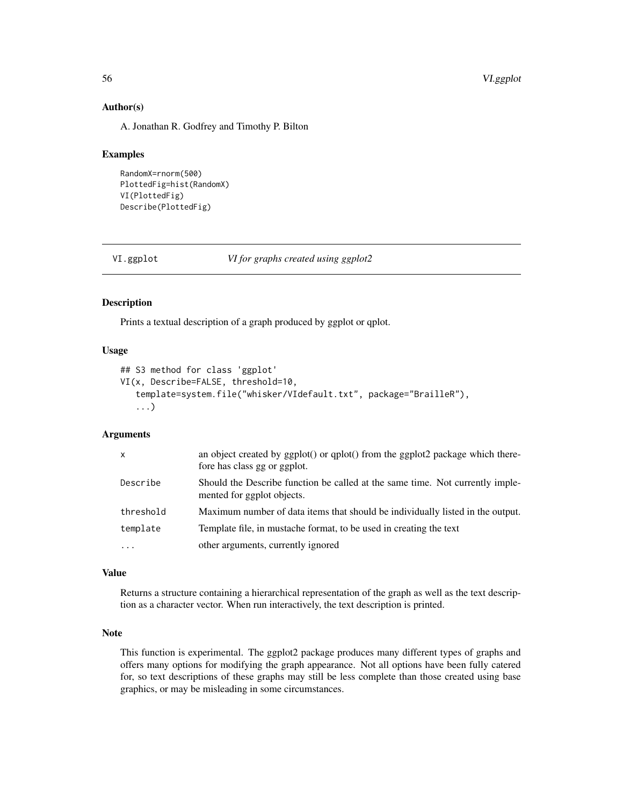# Author(s)

A. Jonathan R. Godfrey and Timothy P. Bilton

#### Examples

```
RandomX=rnorm(500)
PlottedFig=hist(RandomX)
VI(PlottedFig)
Describe(PlottedFig)
```
VI.ggplot *VI for graphs created using ggplot2*

#### Description

Prints a textual description of a graph produced by ggplot or qplot.

#### Usage

```
## S3 method for class 'ggplot'
VI(x, Describe=FALSE, threshold=10,
   template=system.file("whisker/VIdefault.txt", package="BrailleR"),
   ...)
```
#### Arguments

| $\mathsf{x}$ | an object created by $ggplot()$ or $qplot()$ from the $ggplot2$ package which there-<br>fore has class gg or ggplot. |
|--------------|----------------------------------------------------------------------------------------------------------------------|
| Describe     | Should the Describe function be called at the same time. Not currently imple-<br>mented for ggplot objects.          |
| threshold    | Maximum number of data items that should be individually listed in the output.                                       |
| template     | Template file, in mustache format, to be used in creating the text                                                   |
| $\cdots$     | other arguments, currently ignored                                                                                   |

# Value

Returns a structure containing a hierarchical representation of the graph as well as the text description as a character vector. When run interactively, the text description is printed.

#### Note

This function is experimental. The ggplot2 package produces many different types of graphs and offers many options for modifying the graph appearance. Not all options have been fully catered for, so text descriptions of these graphs may still be less complete than those created using base graphics, or may be misleading in some circumstances.

<span id="page-55-0"></span>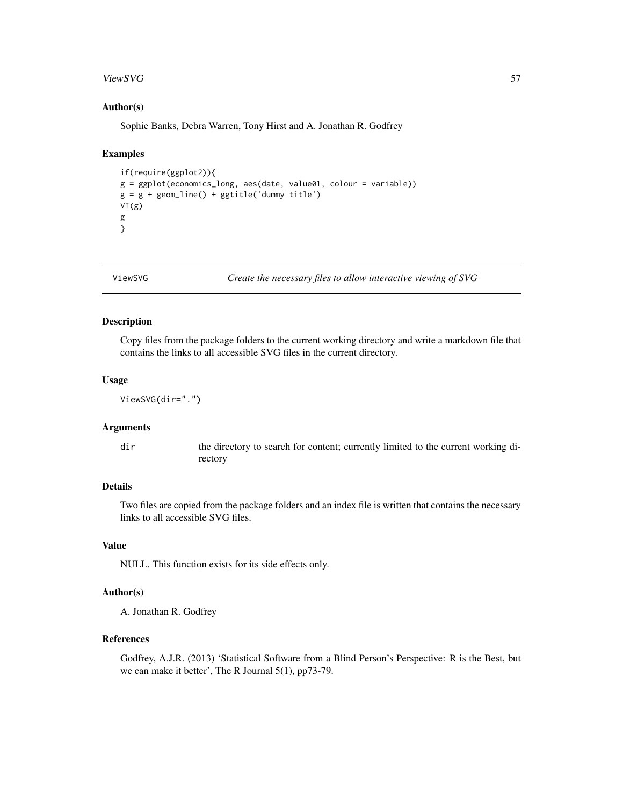#### <span id="page-56-0"></span>ViewSVG 57

#### Author(s)

Sophie Banks, Debra Warren, Tony Hirst and A. Jonathan R. Godfrey

#### Examples

```
if(require(ggplot2)){
g = ggplot(economics_long, aes(date, value01, colour = variable))
g = g + geom\_line() + ggitle('dummy title')VI(g)
g
}
```
ViewSVG *Create the necessary files to allow interactive viewing of SVG*

#### Description

Copy files from the package folders to the current working directory and write a markdown file that contains the links to all accessible SVG files in the current directory.

#### Usage

```
ViewSVG(dir=".")
```
#### Arguments

dir the directory to search for content; currently limited to the current working directory

# Details

Two files are copied from the package folders and an index file is written that contains the necessary links to all accessible SVG files.

#### Value

NULL. This function exists for its side effects only.

# Author(s)

A. Jonathan R. Godfrey

#### References

Godfrey, A.J.R. (2013) 'Statistical Software from a Blind Person's Perspective: R is the Best, but we can make it better', The R Journal 5(1), pp73-79.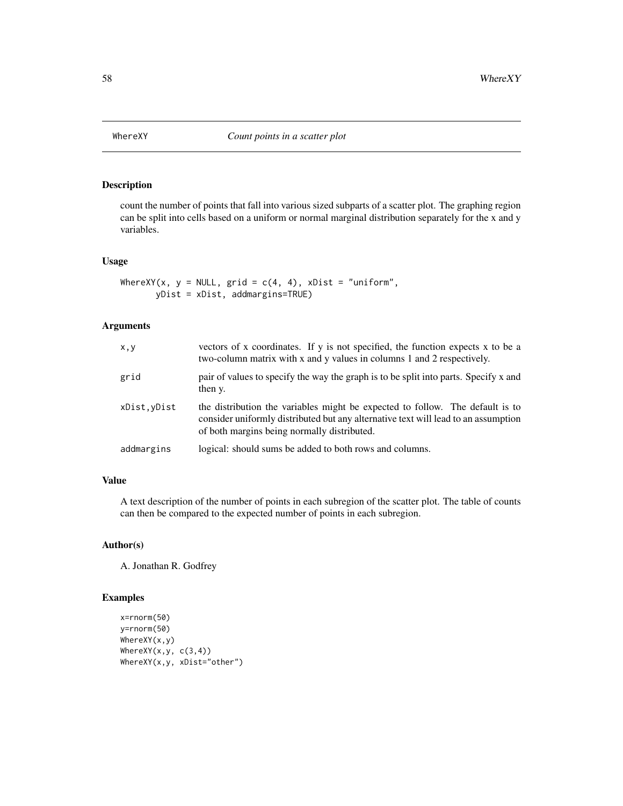<span id="page-57-0"></span>

count the number of points that fall into various sized subparts of a scatter plot. The graphing region can be split into cells based on a uniform or normal marginal distribution separately for the x and y variables.

# Usage

```
WhereXY(x, y = NULL, grid = c(4, 4), xDist = "uniform",
      yDist = xDist, addmargins=TRUE)
```
# Arguments

| X, Y         | vectors of x coordinates. If y is not specified, the function expects x to be a<br>two-column matrix with x and y values in columns 1 and 2 respectively.                                                          |
|--------------|--------------------------------------------------------------------------------------------------------------------------------------------------------------------------------------------------------------------|
| grid         | pair of values to specify the way the graph is to be split into parts. Specify x and<br>then y.                                                                                                                    |
| xDist, yDist | the distribution the variables might be expected to follow. The default is to<br>consider uniformly distributed but any alternative text will lead to an assumption<br>of both margins being normally distributed. |
| addmargins   | logical: should sums be added to both rows and columns.                                                                                                                                                            |

# Value

A text description of the number of points in each subregion of the scatter plot. The table of counts can then be compared to the expected number of points in each subregion.

#### Author(s)

A. Jonathan R. Godfrey

# Examples

```
x=rnorm(50)
y=rnorm(50)
WhereXY(x,y)
WhereXY(x,y, c(3,4))
WhereXY(x,y, xDist="other")
```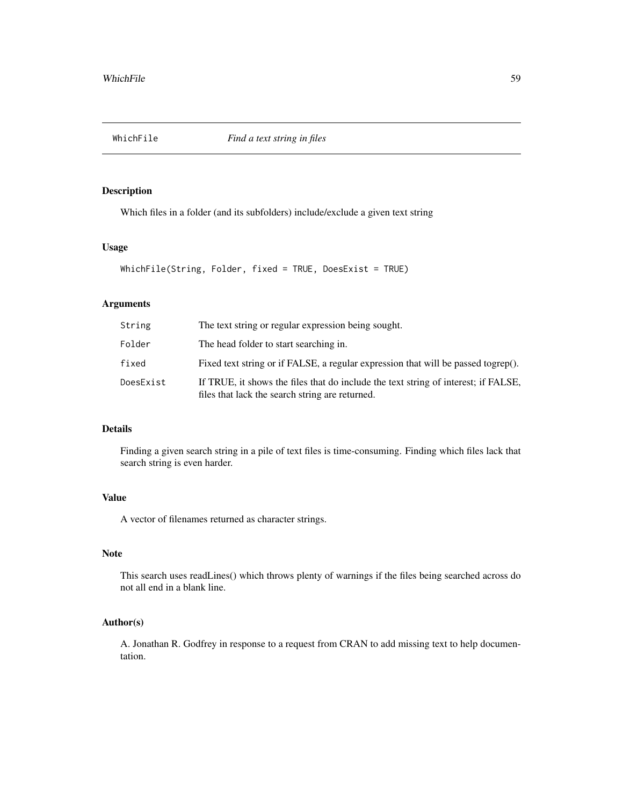<span id="page-58-0"></span>

Which files in a folder (and its subfolders) include/exclude a given text string

# Usage

```
WhichFile(String, Folder, fixed = TRUE, DoesExist = TRUE)
```
# Arguments

| String    | The text string or regular expression being sought.                                                                                   |
|-----------|---------------------------------------------------------------------------------------------------------------------------------------|
| Folder    | The head folder to start searching in.                                                                                                |
| fixed     | Fixed text string or if FALSE, a regular expression that will be passed togrep().                                                     |
| DoesExist | If TRUE, it shows the files that do include the text string of interest; if FALSE,<br>files that lack the search string are returned. |

# Details

Finding a given search string in a pile of text files is time-consuming. Finding which files lack that search string is even harder.

# Value

A vector of filenames returned as character strings.

# Note

This search uses readLines() which throws plenty of warnings if the files being searched across do not all end in a blank line.

# Author(s)

A. Jonathan R. Godfrey in response to a request from CRAN to add missing text to help documentation.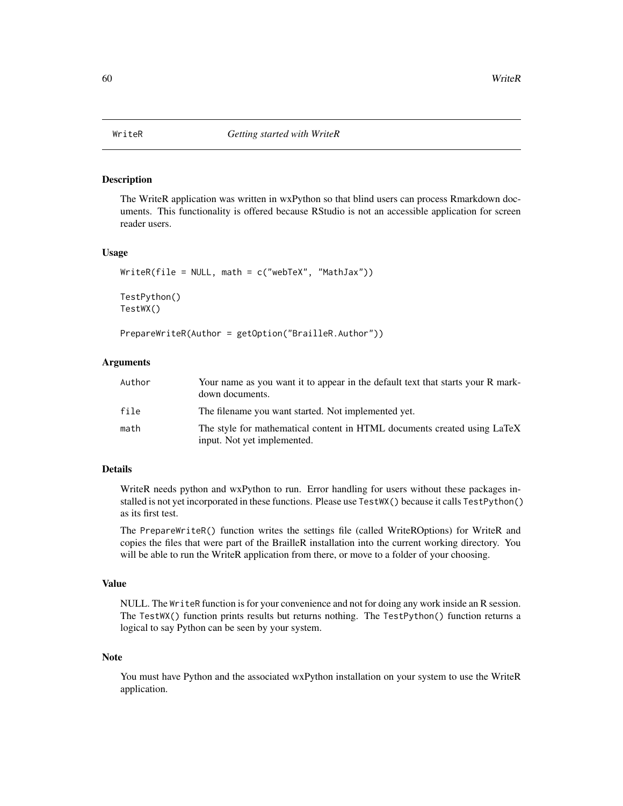<span id="page-59-0"></span>

The WriteR application was written in wxPython so that blind users can process Rmarkdown documents. This functionality is offered because RStudio is not an accessible application for screen reader users.

#### Usage

```
WriteR(file = NULL, math = c("webText", "MathJava"))TestPython()
TestWX()
```

```
PrepareWriteR(Author = getOption("BrailleR.Author"))
```
# Arguments

| Author | Your name as you want it to appear in the default text that starts your R mark-<br>down documents.      |
|--------|---------------------------------------------------------------------------------------------------------|
| file   | The filename you want started. Not implemented yet.                                                     |
| math   | The style for mathematical content in HTML documents created using LaTeX<br>input. Not yet implemented. |

# Details

WriteR needs python and wxPython to run. Error handling for users without these packages installed is not yet incorporated in these functions. Please use TestWX() because it calls TestPython() as its first test.

The PrepareWriteR() function writes the settings file (called WriteROptions) for WriteR and copies the files that were part of the BrailleR installation into the current working directory. You will be able to run the WriteR application from there, or move to a folder of your choosing.

#### Value

NULL. The WriteR function is for your convenience and not for doing any work inside an R session. The TestWX() function prints results but returns nothing. The TestPython() function returns a logical to say Python can be seen by your system.

#### **Note**

You must have Python and the associated wxPython installation on your system to use the WriteR application.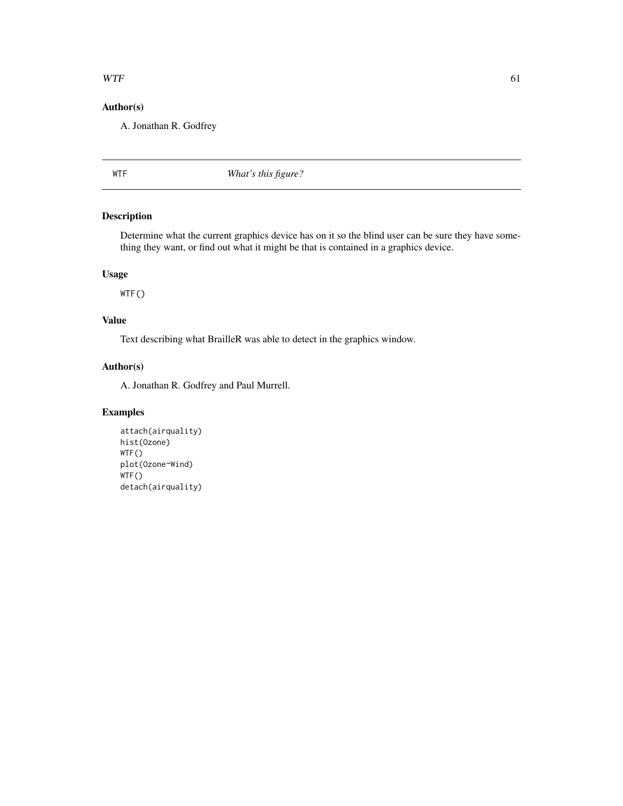#### <span id="page-60-0"></span> $WTF$  61

# Author(s)

A. Jonathan R. Godfrey

WTF *What's this figure?*

# Description

Determine what the current graphics device has on it so the blind user can be sure they have something they want, or find out what it might be that is contained in a graphics device.

# Usage

WTF()

# Value

Text describing what BrailleR was able to detect in the graphics window.

# Author(s)

A. Jonathan R. Godfrey and Paul Murrell.

# Examples

```
attach(airquality)
hist(Ozone)
WTF()
plot(Ozone~Wind)
WTF()
detach(airquality)
```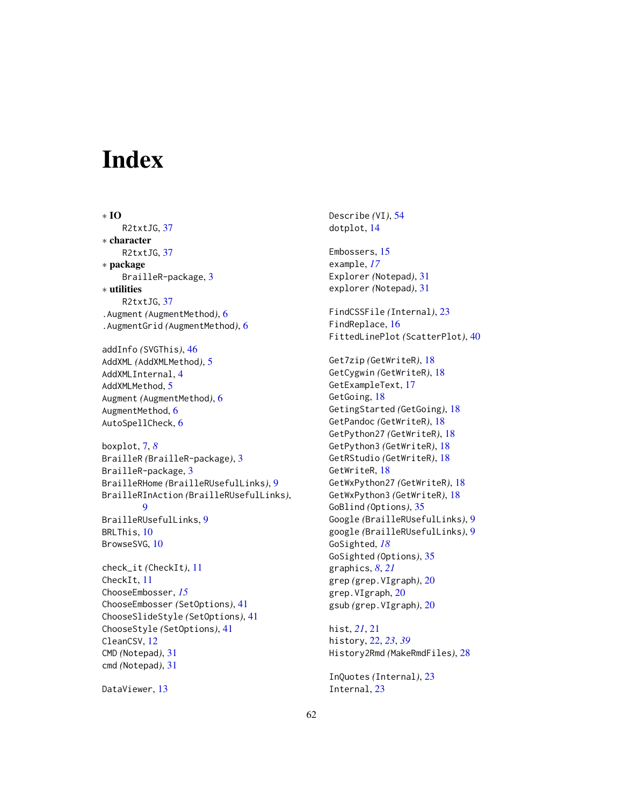# <span id="page-61-0"></span>**Index**

∗ IO R2txtJG, [37](#page-36-0) ∗ character R2txtJG, [37](#page-36-0) ∗ package BrailleR-package, [3](#page-2-0) ∗ utilities R2txtJG, [37](#page-36-0) .Augment *(*AugmentMethod*)*, [6](#page-5-0) .AugmentGrid *(*AugmentMethod*)*, [6](#page-5-0) addInfo *(*SVGThis*)*, [46](#page-45-0) AddXML *(*AddXMLMethod*)*, [5](#page-4-0) AddXMLInternal, [4](#page-3-0) AddXMLMethod, [5](#page-4-0) Augment *(*AugmentMethod*)*, [6](#page-5-0) AugmentMethod, [6](#page-5-0) AutoSpellCheck, [6](#page-5-0) boxplot, [7,](#page-6-0) *[8](#page-7-0)* BrailleR *(*BrailleR-package*)*, [3](#page-2-0) BrailleR-package, [3](#page-2-0) BrailleRHome *(*BrailleRUsefulLinks*)*, [9](#page-8-0) BrailleRInAction *(*BrailleRUsefulLinks*)*, **[9](#page-8-0)** BrailleRUsefulLinks, [9](#page-8-0) BRLThis, [10](#page-9-0) BrowseSVG, [10](#page-9-0) check\_it *(*CheckIt*)*, [11](#page-10-0) CheckIt, [11](#page-10-0) ChooseEmbosser, *[15](#page-14-0)* ChooseEmbosser *(*SetOptions*)*, [41](#page-40-0) ChooseSlideStyle *(*SetOptions*)*, [41](#page-40-0) ChooseStyle *(*SetOptions*)*, [41](#page-40-0) CleanCSV, [12](#page-11-0) CMD *(*Notepad*)*, [31](#page-30-0) cmd *(*Notepad*)*, [31](#page-30-0)

DataViewer, [13](#page-12-0)

Describe *(*VI*)*, [54](#page-53-0) dotplot, [14](#page-13-0) Embossers, [15](#page-14-0) example, *[17](#page-16-0)* Explorer *(*Notepad*)*, [31](#page-30-0) explorer *(*Notepad*)*, [31](#page-30-0) FindCSSFile *(*Internal*)*, [23](#page-22-0) FindReplace, [16](#page-15-0) FittedLinePlot *(*ScatterPlot*)*, [40](#page-39-0) Get7zip *(*GetWriteR*)*, [18](#page-17-0) GetCygwin *(*GetWriteR*)*, [18](#page-17-0) GetExampleText, [17](#page-16-0) GetGoing, [18](#page-17-0) GetingStarted *(*GetGoing*)*, [18](#page-17-0) GetPandoc *(*GetWriteR*)*, [18](#page-17-0) GetPython27 *(*GetWriteR*)*, [18](#page-17-0) GetPython3 *(*GetWriteR*)*, [18](#page-17-0) GetRStudio *(*GetWriteR*)*, [18](#page-17-0) GetWriteR, [18](#page-17-0) GetWxPython27 *(*GetWriteR*)*, [18](#page-17-0) GetWxPython3 *(*GetWriteR*)*, [18](#page-17-0) GoBlind *(*Options*)*, [35](#page-34-0) Google *(*BrailleRUsefulLinks*)*, [9](#page-8-0) google *(*BrailleRUsefulLinks*)*, [9](#page-8-0) GoSighted, *[18](#page-17-0)* GoSighted *(*Options*)*, [35](#page-34-0) graphics, *[8](#page-7-0)*, *[21](#page-20-0)* grep *(*grep.VIgraph*)*, [20](#page-19-0) grep.VIgraph, [20](#page-19-0) gsub *(*grep.VIgraph*)*, [20](#page-19-0)

hist, *[21](#page-20-0)*, [21](#page-20-0) history, [22,](#page-21-0) *[23](#page-22-0)*, *[39](#page-38-0)* History2Rmd *(*MakeRmdFiles*)*, [28](#page-27-0)

InQuotes *(*Internal*)*, [23](#page-22-0) Internal, [23](#page-22-0)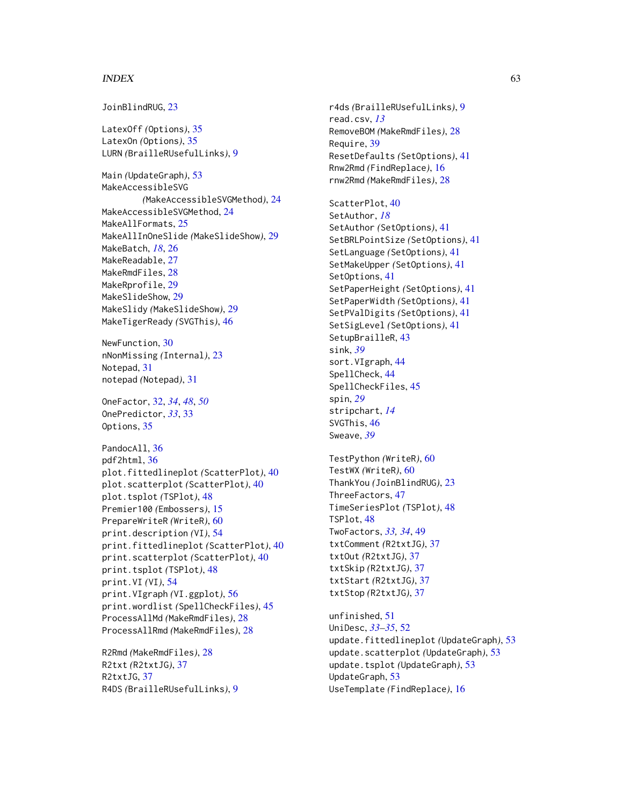#### $I<sub>N</sub>DEX$  63

JoinBlindRUG, [23](#page-22-0)

LatexOff *(*Options*)*, [35](#page-34-0) LatexOn *(*Options*)*, [35](#page-34-0) LURN *(*BrailleRUsefulLinks*)*, [9](#page-8-0)

Main *(*UpdateGraph*)*, [53](#page-52-0) MakeAccessibleSVG *(*MakeAccessibleSVGMethod*)*, [24](#page-23-0) MakeAccessibleSVGMethod, [24](#page-23-0) MakeAllFormats, [25](#page-24-0) MakeAllInOneSlide *(*MakeSlideShow*)*, [29](#page-28-0) MakeBatch, *[18](#page-17-0)*, [26](#page-25-0) MakeReadable, [27](#page-26-0) MakeRmdFiles, [28](#page-27-0) MakeRprofile, [29](#page-28-0) MakeSlideShow, [29](#page-28-0) MakeSlidy *(*MakeSlideShow*)*, [29](#page-28-0) MakeTigerReady *(*SVGThis*)*, [46](#page-45-0)

NewFunction, [30](#page-29-0) nNonMissing *(*Internal*)*, [23](#page-22-0) Notepad, [31](#page-30-0) notepad *(*Notepad*)*, [31](#page-30-0)

OneFactor, [32,](#page-31-0) *[34](#page-33-0)*, *[48](#page-47-0)*, *[50](#page-49-0)* OnePredictor, *[33](#page-32-0)*, [33](#page-32-0) Options, [35](#page-34-0)

PandocAll, [36](#page-35-0) pdf2html, [36](#page-35-0) plot.fittedlineplot *(*ScatterPlot*)*, [40](#page-39-0) plot.scatterplot *(*ScatterPlot*)*, [40](#page-39-0) plot.tsplot *(*TSPlot*)*, [48](#page-47-0) Premier100 *(*Embossers*)*, [15](#page-14-0) PrepareWriteR *(*WriteR*)*, [60](#page-59-0) print.description *(*VI*)*, [54](#page-53-0) print.fittedlineplot *(*ScatterPlot*)*, [40](#page-39-0) print.scatterplot *(*ScatterPlot*)*, [40](#page-39-0) print.tsplot *(*TSPlot*)*, [48](#page-47-0) print.VI *(*VI*)*, [54](#page-53-0) print.VIgraph *(*VI.ggplot*)*, [56](#page-55-0) print.wordlist *(*SpellCheckFiles*)*, [45](#page-44-0) ProcessAllMd *(*MakeRmdFiles*)*, [28](#page-27-0) ProcessAllRmd *(*MakeRmdFiles*)*, [28](#page-27-0)

R2Rmd *(*MakeRmdFiles*)*, [28](#page-27-0) R2txt *(*R2txtJG*)*, [37](#page-36-0) R2txtJG, [37](#page-36-0) R4DS *(*BrailleRUsefulLinks*)*, [9](#page-8-0) r4ds *(*BrailleRUsefulLinks*)*, [9](#page-8-0) read.csv, *[13](#page-12-0)* RemoveBOM *(*MakeRmdFiles*)*, [28](#page-27-0) Require, [39](#page-38-0) ResetDefaults *(*SetOptions*)*, [41](#page-40-0) Rnw2Rmd *(*FindReplace*)*, [16](#page-15-0) rnw2Rmd *(*MakeRmdFiles*)*, [28](#page-27-0)

ScatterPlot, [40](#page-39-0) SetAuthor, *[18](#page-17-0)* SetAuthor *(*SetOptions*)*, [41](#page-40-0) SetBRLPointSize *(*SetOptions*)*, [41](#page-40-0) SetLanguage *(*SetOptions*)*, [41](#page-40-0) SetMakeUpper *(*SetOptions*)*, [41](#page-40-0) SetOptions, [41](#page-40-0) SetPaperHeight *(*SetOptions*)*, [41](#page-40-0) SetPaperWidth *(*SetOptions*)*, [41](#page-40-0) SetPValDigits *(*SetOptions*)*, [41](#page-40-0) SetSigLevel *(*SetOptions*)*, [41](#page-40-0) SetupBrailleR, [43](#page-42-0) sink, *[39](#page-38-0)* sort.VIgraph, [44](#page-43-0) SpellCheck, [44](#page-43-0) SpellCheckFiles, [45](#page-44-0) spin, *[29](#page-28-0)* stripchart, *[14](#page-13-0)* SVGThis, [46](#page-45-0) Sweave, *[39](#page-38-0)*

TestPython *(*WriteR*)*, [60](#page-59-0) TestWX *(*WriteR*)*, [60](#page-59-0) ThankYou *(*JoinBlindRUG*)*, [23](#page-22-0) ThreeFactors, [47](#page-46-0) TimeSeriesPlot *(*TSPlot*)*, [48](#page-47-0) TSPlot, [48](#page-47-0) TwoFactors, *[33,](#page-32-0) [34](#page-33-0)*, [49](#page-48-0) txtComment *(*R2txtJG*)*, [37](#page-36-0) txtOut *(*R2txtJG*)*, [37](#page-36-0) txtSkip *(*R2txtJG*)*, [37](#page-36-0) txtStart *(*R2txtJG*)*, [37](#page-36-0) txtStop *(*R2txtJG*)*, [37](#page-36-0)

unfinished, [51](#page-50-0) UniDesc, *[33](#page-32-0)[–35](#page-34-0)*, [52](#page-51-0) update.fittedlineplot *(*UpdateGraph*)*, [53](#page-52-0) update.scatterplot *(*UpdateGraph*)*, [53](#page-52-0) update.tsplot *(*UpdateGraph*)*, [53](#page-52-0) UpdateGraph, [53](#page-52-0) UseTemplate *(*FindReplace*)*, [16](#page-15-0)